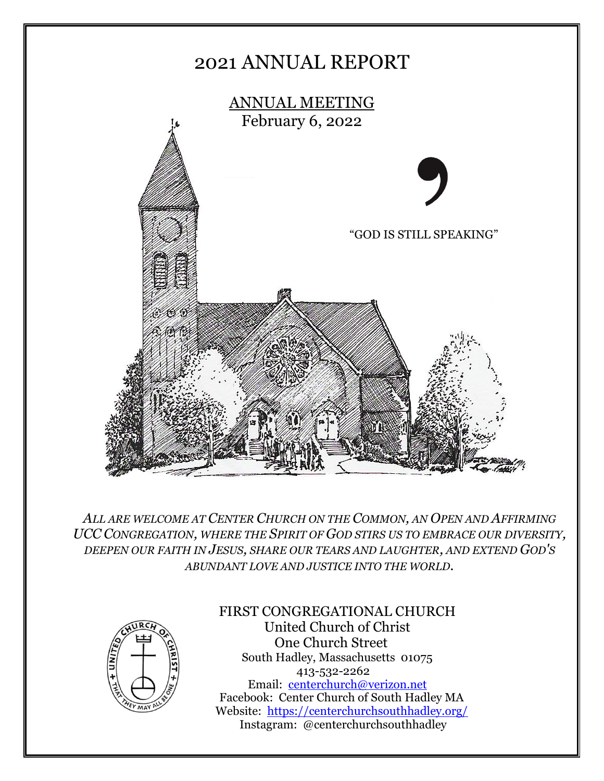

*ALL ARE WELCOME AT CENTER CHURCH ON THE COMMON, AN OPEN AND AFFIRMING UCC CONGREGATION, WHERE THE SPIRIT OF GOD STIRS US TO EMBRACE OUR DIVERSITY, DEEPEN OUR FAITH IN JESUS, SHARE OUR TEARS AND LAUGHTER, AND EXTEND GOD'S ABUNDANT LOVE AND JUSTICE INTO THE WORLD.*



#### FIRST CONGREGATIONAL CHURCH United Church of Christ One Church Street

South Hadley, Massachusetts 01075 413-532-2262 Email: [centerchurch@verizon.net](mailto:centerchurch@verizon.net) Facebook: Center Church of South Hadley MA Website: <https://centerchurchsouthhadley.org/> Instagram: @centerchurchsouthhadley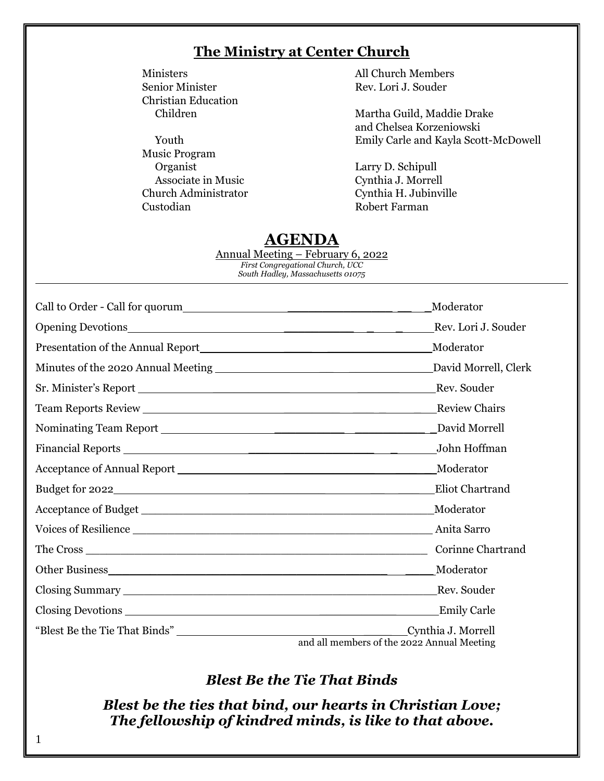#### **The Ministry at Center Church**

Christian Education

Music Program Organist Larry D. Schipull Associate in Music Cynthia J. Morrell Church Administrator Cynthia H. Jubinville Custodian Robert Farman

Ministers All Church Members Senior Minister Rev. Lori J. Souder

Children Martha Guild, Maddie Drake and Chelsea Korzeniowski Youth Emily Carle and Kayla Scott-McDowell

### **AGENDA**

Annual Meeting – February 6, 2022 *First Congregational Church, UCC South Hadley, Massachusetts 01075*

| Call to Order - Call for quorum | Moderator                                                        |
|---------------------------------|------------------------------------------------------------------|
|                                 | Rev. Lori J. Souder                                              |
|                                 | Moderator                                                        |
|                                 |                                                                  |
|                                 |                                                                  |
|                                 | <b>Review Chairs</b>                                             |
|                                 | David Morrell                                                    |
|                                 | John Hoffman                                                     |
|                                 | Moderator                                                        |
| Budget for 2022                 | Eliot Chartrand                                                  |
|                                 | Moderator                                                        |
|                                 |                                                                  |
|                                 | <b>Corinne Chartrand</b>                                         |
|                                 | Moderator                                                        |
|                                 | Rev. Souder                                                      |
|                                 | <b>Emily Carle</b>                                               |
|                                 | Cynthia J. Morrell<br>and all members of the 2022 Annual Meeting |

### *Blest Be the Tie That Binds*

*Blest be the ties that bind, our hearts in Christian Love; The fellowship of kindred minds, is like to that above.*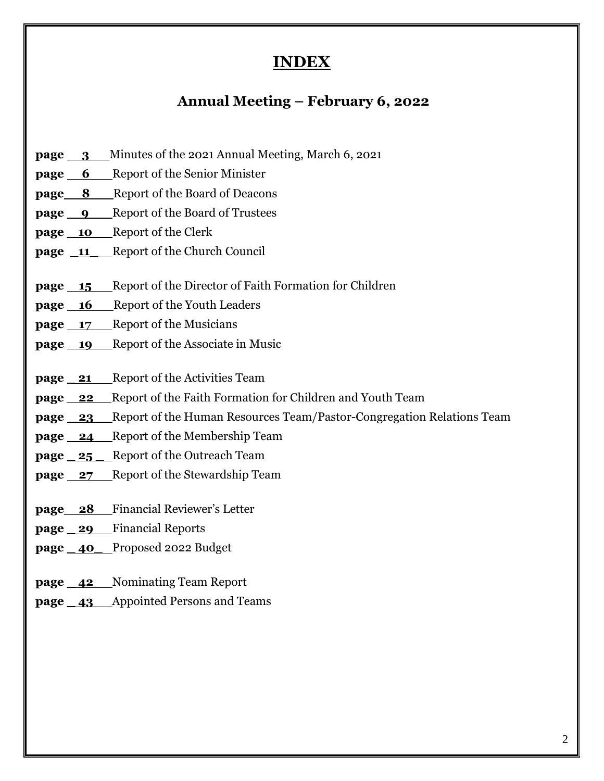### **INDEX**

### **Annual Meeting – February 6, 2022**

- **page 3** Minutes of the 2021 Annual Meeting, March 6, 2021
- **page 6** Report of the Senior Minister
- **page 8 \_** Report of the Board of Deacons
- **page \_ 9 \_** Report of the Board of Trustees
- **page \_ 10 \_** Report of the Clerk
- **page \_11** Report of the Church Council
- **page 15** Report of the Director of Faith Formation for Children
- **page** 16 Report of the Youth Leaders
- **page** 17 Report of the Musicians
- **page** 19 Report of the Associate in Music
- **page <u>21</u>** Report of the Activities Team
- **page 22** Report of the Faith Formation for Children and Youth Team
- **page 23** Report of the Human Resources Team/Pastor-Congregation Relations Team
- **page 24\_** Report of the Membership Team
- **page \_ 25 \_** Report of the Outreach Team
- **page 27** Report of the Stewardship Team
- **page 28** Financial Reviewer's Letter
- **page \_ 29** Financial Reports
- **page \_ 40\_** Proposed 2022 Budget
- **page \_ 42** Nominating Team Report
- **page \_ 43** Appointed Persons and Teams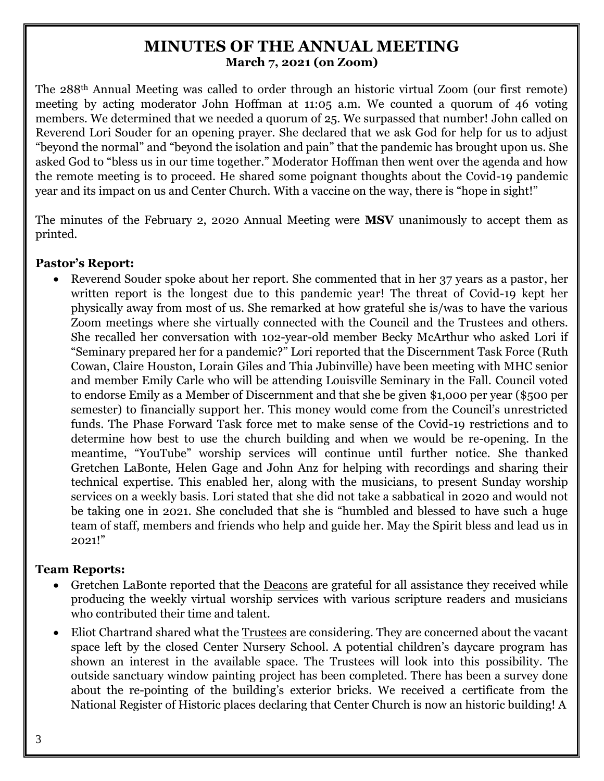### **MINUTES OF THE ANNUAL MEETING March 7, 2021 (on Zoom)**

The 288th Annual Meeting was called to order through an historic virtual Zoom (our first remote) meeting by acting moderator John Hoffman at 11:05 a.m. We counted a quorum of 46 voting members. We determined that we needed a quorum of 25. We surpassed that number! John called on Reverend Lori Souder for an opening prayer. She declared that we ask God for help for us to adjust "beyond the normal" and "beyond the isolation and pain" that the pandemic has brought upon us. She asked God to "bless us in our time together." Moderator Hoffman then went over the agenda and how the remote meeting is to proceed. He shared some poignant thoughts about the Covid-19 pandemic year and its impact on us and Center Church. With a vaccine on the way, there is "hope in sight!"

The minutes of the February 2, 2020 Annual Meeting were **MSV** unanimously to accept them as printed.

#### **Pastor's Report:**

• Reverend Souder spoke about her report. She commented that in her 37 years as a pastor, her written report is the longest due to this pandemic year! The threat of Covid-19 kept her physically away from most of us. She remarked at how grateful she is/was to have the various Zoom meetings where she virtually connected with the Council and the Trustees and others. She recalled her conversation with 102-year-old member Becky McArthur who asked Lori if "Seminary prepared her for a pandemic?" Lori reported that the Discernment Task Force (Ruth Cowan, Claire Houston, Lorain Giles and Thia Jubinville) have been meeting with MHC senior and member Emily Carle who will be attending Louisville Seminary in the Fall. Council voted to endorse Emily as a Member of Discernment and that she be given \$1,000 per year (\$500 per semester) to financially support her. This money would come from the Council's unrestricted funds. The Phase Forward Task force met to make sense of the Covid-19 restrictions and to determine how best to use the church building and when we would be re-opening. In the meantime, "YouTube" worship services will continue until further notice. She thanked Gretchen LaBonte, Helen Gage and John Anz for helping with recordings and sharing their technical expertise. This enabled her, along with the musicians, to present Sunday worship services on a weekly basis. Lori stated that she did not take a sabbatical in 2020 and would not be taking one in 2021. She concluded that she is "humbled and blessed to have such a huge team of staff, members and friends who help and guide her. May the Spirit bless and lead us in 2021!"

#### **Team Reports:**

- Gretchen LaBonte reported that the <u>Deacons</u> are grateful for all assistance they received while producing the weekly virtual worship services with various scripture readers and musicians who contributed their time and talent.
- Eliot Chartrand shared what the Trustees are considering. They are concerned about the vacant space left by the closed Center Nursery School. A potential children's daycare program has shown an interest in the available space. The Trustees will look into this possibility. The outside sanctuary window painting project has been completed. There has been a survey done about the re-pointing of the building's exterior bricks. We received a certificate from the National Register of Historic places declaring that Center Church is now an historic building! A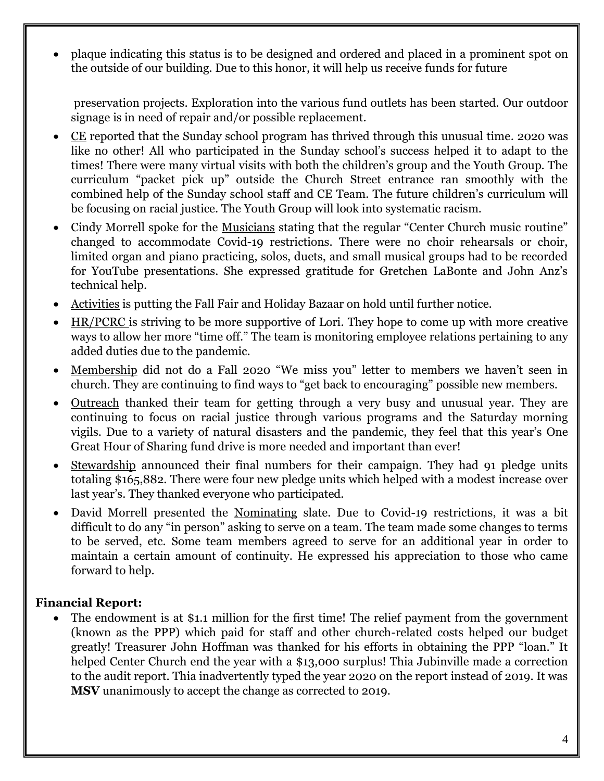• plaque indicating this status is to be designed and ordered and placed in a prominent spot on the outside of our building. Due to this honor, it will help us receive funds for future

preservation projects. Exploration into the various fund outlets has been started. Our outdoor signage is in need of repair and/or possible replacement.

- CE reported that the Sunday school program has thrived through this unusual time. 2020 was like no other! All who participated in the Sunday school's success helped it to adapt to the times! There were many virtual visits with both the children's group and the Youth Group. The curriculum "packet pick up" outside the Church Street entrance ran smoothly with the combined help of the Sunday school staff and CE Team. The future children's curriculum will be focusing on racial justice. The Youth Group will look into systematic racism.
- Cindy Morrell spoke for the Musicians stating that the regular "Center Church music routine" changed to accommodate Covid-19 restrictions. There were no choir rehearsals or choir, limited organ and piano practicing, solos, duets, and small musical groups had to be recorded for YouTube presentations. She expressed gratitude for Gretchen LaBonte and John Anz's technical help.
- Activities is putting the Fall Fair and Holiday Bazaar on hold until further notice.
- HR/PCRC is striving to be more supportive of Lori. They hope to come up with more creative ways to allow her more "time off." The team is monitoring employee relations pertaining to any added duties due to the pandemic.
- Membership did not do a Fall 2020 "We miss you" letter to members we haven't seen in church. They are continuing to find ways to "get back to encouraging" possible new members.
- Outreach thanked their team for getting through a very busy and unusual year. They are continuing to focus on racial justice through various programs and the Saturday morning vigils. Due to a variety of natural disasters and the pandemic, they feel that this year's One Great Hour of Sharing fund drive is more needed and important than ever!
- Stewardship announced their final numbers for their campaign. They had 91 pledge units totaling \$165,882. There were four new pledge units which helped with a modest increase over last year's. They thanked everyone who participated.
- David Morrell presented the Nominating slate. Due to Covid-19 restrictions, it was a bit difficult to do any "in person" asking to serve on a team. The team made some changes to terms to be served, etc. Some team members agreed to serve for an additional year in order to maintain a certain amount of continuity. He expressed his appreciation to those who came forward to help.

#### **Financial Report:**

• The endowment is at \$1.1 million for the first time! The relief payment from the government (known as the PPP) which paid for staff and other church-related costs helped our budget greatly! Treasurer John Hoffman was thanked for his efforts in obtaining the PPP "loan." It helped Center Church end the year with a \$13,000 surplus! Thia Jubinville made a correction to the audit report. Thia inadvertently typed the year 2020 on the report instead of 2019. It was **MSV** unanimously to accept the change as corrected to 2019.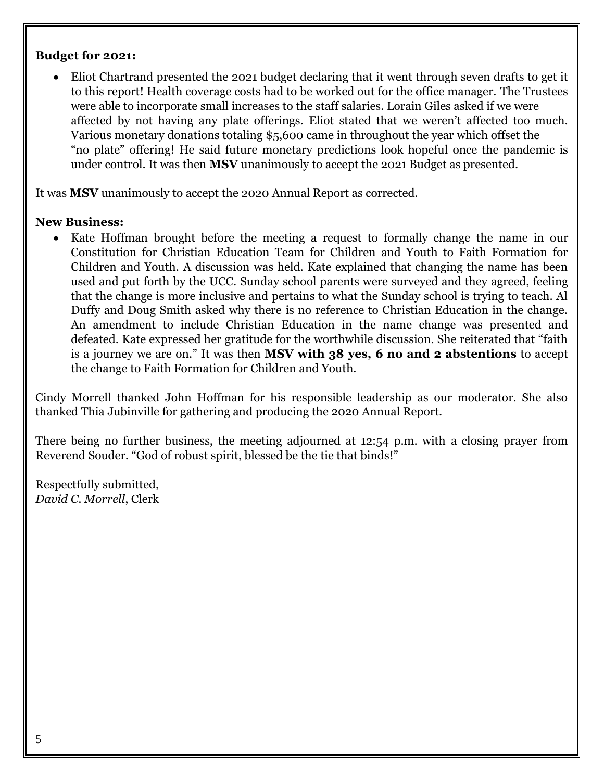#### **Budget for 2021:**

• Eliot Chartrand presented the 2021 budget declaring that it went through seven drafts to get it to this report! Health coverage costs had to be worked out for the office manager. The Trustees were able to incorporate small increases to the staff salaries. Lorain Giles asked if we were affected by not having any plate offerings. Eliot stated that we weren't affected too much. Various monetary donations totaling \$5,600 came in throughout the year which offset the "no plate" offering! He said future monetary predictions look hopeful once the pandemic is under control. It was then **MSV** unanimously to accept the 2021 Budget as presented.

It was **MSV** unanimously to accept the 2020 Annual Report as corrected.

#### **New Business:**

Kate Hoffman brought before the meeting a request to formally change the name in our Constitution for Christian Education Team for Children and Youth to Faith Formation for Children and Youth. A discussion was held. Kate explained that changing the name has been used and put forth by the UCC. Sunday school parents were surveyed and they agreed, feeling that the change is more inclusive and pertains to what the Sunday school is trying to teach. Al Duffy and Doug Smith asked why there is no reference to Christian Education in the change. An amendment to include Christian Education in the name change was presented and defeated. Kate expressed her gratitude for the worthwhile discussion. She reiterated that "faith is a journey we are on." It was then **MSV with 38 yes, 6 no and 2 abstentions** to accept the change to Faith Formation for Children and Youth.

Cindy Morrell thanked John Hoffman for his responsible leadership as our moderator. She also thanked Thia Jubinville for gathering and producing the 2020 Annual Report.

There being no further business, the meeting adjourned at 12:54 p.m. with a closing prayer from Reverend Souder. "God of robust spirit, blessed be the tie that binds!"

Respectfully submitted, *David C. Morrell*, Clerk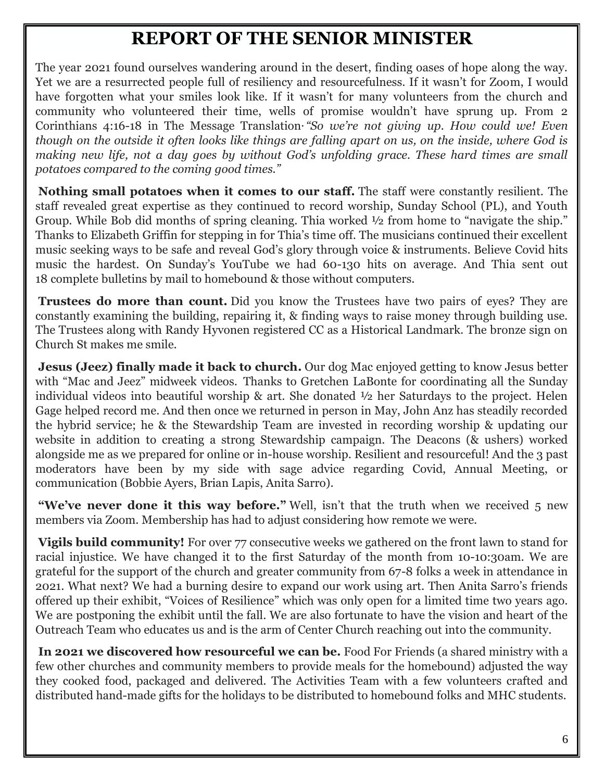### **REPORT OF THE SENIOR MINISTER**

The year 2021 found ourselves wandering around in the desert, finding oases of hope along the way. Yet we are a resurrected people full of resiliency and resourcefulness. If it wasn't for Zoom, I would have forgotten what your smiles look like. If it wasn't for many volunteers from the church and community who volunteered their time, wells of promise wouldn't have sprung up. From 2 Corinthians 4:16-18 in The Message Translation**.***"So we're not giving up. How could we! Even though on the outside it often looks like things are falling apart on us, on the inside, where God is making new life, not a day goes by without God's unfolding grace. These hard times are small potatoes compared to the coming good times."*

**Nothing small potatoes when it comes to our staff.** The staff were constantly resilient. The staff revealed great expertise as they continued to record worship, Sunday School (PL), and Youth Group. While Bob did months of spring cleaning. Thia worked ½ from home to "navigate the ship." Thanks to Elizabeth Griffin for stepping in for Thia's time off. The musicians continued their excellent music seeking ways to be safe and reveal God's glory through voice & instruments. Believe Covid hits music the hardest. On Sunday's YouTube we had 60-130 hits on average. And Thia sent out 18 complete bulletins by mail to homebound & those without computers.

**Trustees do more than count.** Did you know the Trustees have two pairs of eyes? They are constantly examining the building, repairing it, & finding ways to raise money through building use. The Trustees along with Randy Hyvonen registered CC as a Historical Landmark. The bronze sign on Church St makes me smile.

**Jesus (Jeez) finally made it back to church.** Our dog Mac enjoyed getting to know Jesus better with "Mac and Jeez" midweek videos. Thanks to Gretchen LaBonte for coordinating all the Sunday individual videos into beautiful worship & art. She donated ½ her Saturdays to the project. Helen Gage helped record me. And then once we returned in person in May, John Anz has steadily recorded the hybrid service; he & the Stewardship Team are invested in recording worship & updating our website in addition to creating a strong Stewardship campaign. The Deacons (& ushers) worked alongside me as we prepared for online or in-house worship. Resilient and resourceful! And the 3 past moderators have been by my side with sage advice regarding Covid, Annual Meeting, or communication (Bobbie Ayers, Brian Lapis, Anita Sarro).

**"We've never done it this way before."** Well, isn't that the truth when we received 5 new members via Zoom. Membership has had to adjust considering how remote we were.

**Vigils build community!** For over 77 consecutive weeks we gathered on the front lawn to stand for racial injustice. We have changed it to the first Saturday of the month from 10-10:30am. We are grateful for the support of the church and greater community from 67-8 folks a week in attendance in 2021. What next? We had a burning desire to expand our work using art. Then Anita Sarro's friends offered up their exhibit, "Voices of Resilience" which was only open for a limited time two years ago. We are postponing the exhibit until the fall. We are also fortunate to have the vision and heart of the Outreach Team who educates us and is the arm of Center Church reaching out into the community.

**In 2021 we discovered how resourceful we can be.** Food For Friends (a shared ministry with a few other churches and community members to provide meals for the homebound) adjusted the way they cooked food, packaged and delivered. The Activities Team with a few volunteers crafted and distributed hand-made gifts for the holidays to be distributed to homebound folks and MHC students.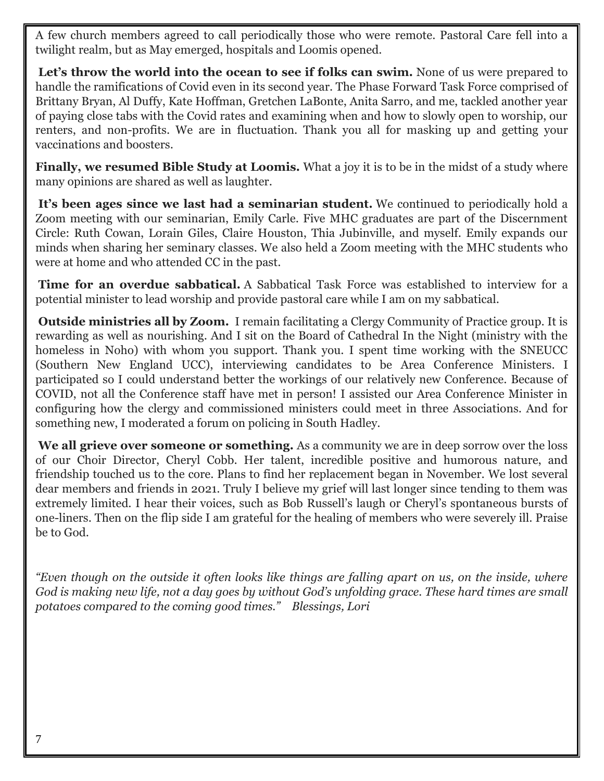A few church members agreed to call periodically those who were remote. Pastoral Care fell into a twilight realm, but as May emerged, hospitals and Loomis opened.

Let's throw the world into the ocean to see if folks can swim. None of us were prepared to handle the ramifications of Covid even in its second year. The Phase Forward Task Force comprised of Brittany Bryan, Al Duffy, Kate Hoffman, Gretchen LaBonte, Anita Sarro, and me, tackled another year of paying close tabs with the Covid rates and examining when and how to slowly open to worship, our renters, and non-profits. We are in fluctuation. Thank you all for masking up and getting your vaccinations and boosters.

**Finally, we resumed Bible Study at Loomis.** What a joy it is to be in the midst of a study where many opinions are shared as well as laughter.

It's been ages since we last had a seminarian student. We continued to periodically hold a Zoom meeting with our seminarian, Emily Carle. Five MHC graduates are part of the Discernment Circle: Ruth Cowan, Lorain Giles, Claire Houston, Thia Jubinville, and myself. Emily expands our minds when sharing her seminary classes. We also held a Zoom meeting with the MHC students who were at home and who attended CC in the past.

**Time for an overdue sabbatical.** A Sabbatical Task Force was established to interview for a potential minister to lead worship and provide pastoral care while I am on my sabbatical.

**Outside ministries all by Zoom.** I remain facilitating a Clergy Community of Practice group. It is rewarding as well as nourishing. And I sit on the Board of Cathedral In the Night (ministry with the homeless in Noho) with whom you support. Thank you. I spent time working with the SNEUCC (Southern New England UCC), interviewing candidates to be Area Conference Ministers. I participated so I could understand better the workings of our relatively new Conference. Because of COVID, not all the Conference staff have met in person! I assisted our Area Conference Minister in configuring how the clergy and commissioned ministers could meet in three Associations. And for something new, I moderated a forum on policing in South Hadley.

**We all grieve over someone or something.** As a community we are in deep sorrow over the loss of our Choir Director, Cheryl Cobb. Her talent, incredible positive and humorous nature, and friendship touched us to the core. Plans to find her replacement began in November. We lost several dear members and friends in 2021. Truly I believe my grief will last longer since tending to them was extremely limited. I hear their voices, such as Bob Russell's laugh or Cheryl's spontaneous bursts of one-liners. Then on the flip side I am grateful for the healing of members who were severely ill. Praise be to God.

*"Even though on the outside it often looks like things are falling apart on us, on the inside, where God is making new life, not a day goes by without God's unfolding grace. These hard times are small potatoes compared to the coming good times." Blessings, Lori*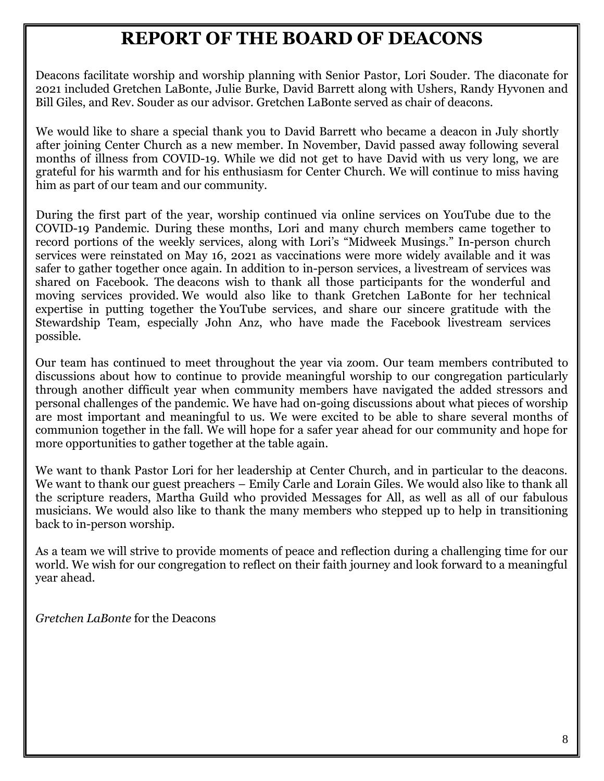### **REPORT OF THE BOARD OF DEACONS**

Deacons facilitate worship and worship planning with Senior Pastor, Lori Souder. The diaconate for 2021 included Gretchen LaBonte, Julie Burke, David Barrett along with Ushers, Randy Hyvonen and Bill Giles, and Rev. Souder as our advisor. Gretchen LaBonte served as chair of deacons.

We would like to share a special thank you to David Barrett who became a deacon in July shortly after joining Center Church as a new member. In November, David passed away following several months of illness from COVID-19. While we did not get to have David with us very long, we are grateful for his warmth and for his enthusiasm for Center Church. We will continue to miss having him as part of our team and our community.

During the first part of the year, worship continued via online services on YouTube due to the COVID-19 Pandemic. During these months, Lori and many church members came together to record portions of the weekly services, along with Lori's "Midweek Musings." In-person church services were reinstated on May 16, 2021 as vaccinations were more widely available and it was safer to gather together once again. In addition to in-person services, a livestream of services was shared on Facebook. The deacons wish to thank all those participants for the wonderful and moving services provided. We would also like to thank Gretchen LaBonte for her technical expertise in putting together the YouTube services, and share our sincere gratitude with the Stewardship Team, especially John Anz, who have made the Facebook livestream services possible.

Our team has continued to meet throughout the year via zoom. Our team members contributed to discussions about how to continue to provide meaningful worship to our congregation particularly through another difficult year when community members have navigated the added stressors and personal challenges of the pandemic. We have had on-going discussions about what pieces of worship are most important and meaningful to us. We were excited to be able to share several months of communion together in the fall. We will hope for a safer year ahead for our community and hope for more opportunities to gather together at the table again.

We want to thank Pastor Lori for her leadership at Center Church, and in particular to the deacons. We want to thank our guest preachers – Emily Carle and Lorain Giles. We would also like to thank all the scripture readers, Martha Guild who provided Messages for All, as well as all of our fabulous musicians. We would also like to thank the many members who stepped up to help in transitioning back to in-person worship.

As a team we will strive to provide moments of peace and reflection during a challenging time for our world. We wish for our congregation to reflect on their faith journey and look forward to a meaningful year ahead.

*Gretchen LaBonte* for the Deacons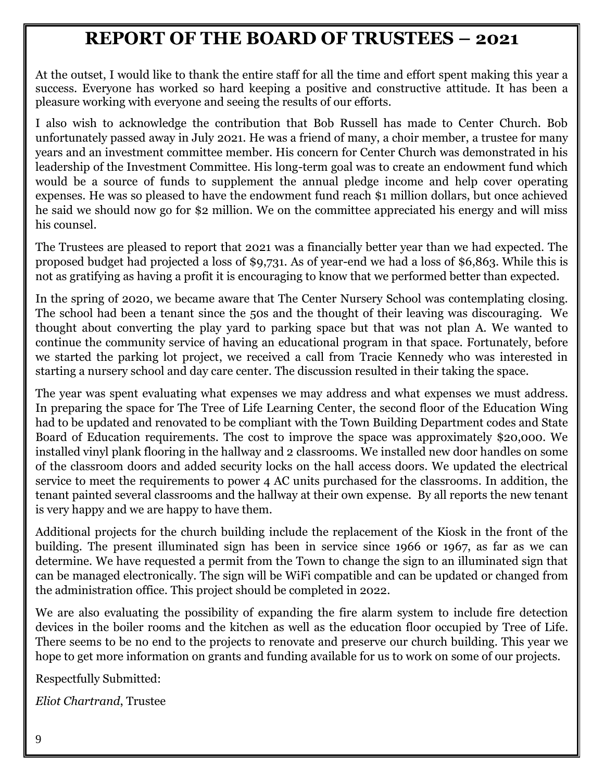### **REPORT OF THE BOARD OF TRUSTEES – 2021**

At the outset, I would like to thank the entire staff for all the time and effort spent making this year a success. Everyone has worked so hard keeping a positive and constructive attitude. It has been a pleasure working with everyone and seeing the results of our efforts.

I also wish to acknowledge the contribution that Bob Russell has made to Center Church. Bob unfortunately passed away in July 2021. He was a friend of many, a choir member, a trustee for many years and an investment committee member. His concern for Center Church was demonstrated in his leadership of the Investment Committee. His long-term goal was to create an endowment fund which would be a source of funds to supplement the annual pledge income and help cover operating expenses. He was so pleased to have the endowment fund reach \$1 million dollars, but once achieved he said we should now go for \$2 million. We on the committee appreciated his energy and will miss his counsel.

The Trustees are pleased to report that 2021 was a financially better year than we had expected. The proposed budget had projected a loss of \$9,731. As of year-end we had a loss of \$6,863. While this is not as gratifying as having a profit it is encouraging to know that we performed better than expected.

In the spring of 2020, we became aware that The Center Nursery School was contemplating closing. The school had been a tenant since the 50s and the thought of their leaving was discouraging. We thought about converting the play yard to parking space but that was not plan A. We wanted to continue the community service of having an educational program in that space. Fortunately, before we started the parking lot project, we received a call from Tracie Kennedy who was interested in starting a nursery school and day care center. The discussion resulted in their taking the space.

The year was spent evaluating what expenses we may address and what expenses we must address. In preparing the space for The Tree of Life Learning Center, the second floor of the Education Wing had to be updated and renovated to be compliant with the Town Building Department codes and State Board of Education requirements. The cost to improve the space was approximately \$20,000. We installed vinyl plank flooring in the hallway and 2 classrooms. We installed new door handles on some of the classroom doors and added security locks on the hall access doors. We updated the electrical service to meet the requirements to power 4 AC units purchased for the classrooms. In addition, the tenant painted several classrooms and the hallway at their own expense. By all reports the new tenant is very happy and we are happy to have them.

Additional projects for the church building include the replacement of the Kiosk in the front of the building. The present illuminated sign has been in service since 1966 or 1967, as far as we can determine. We have requested a permit from the Town to change the sign to an illuminated sign that can be managed electronically. The sign will be WiFi compatible and can be updated or changed from the administration office. This project should be completed in 2022.

We are also evaluating the possibility of expanding the fire alarm system to include fire detection devices in the boiler rooms and the kitchen as well as the education floor occupied by Tree of Life. There seems to be no end to the projects to renovate and preserve our church building. This year we hope to get more information on grants and funding available for us to work on some of our projects.

Respectfully Submitted:

*Eliot Chartrand*, Trustee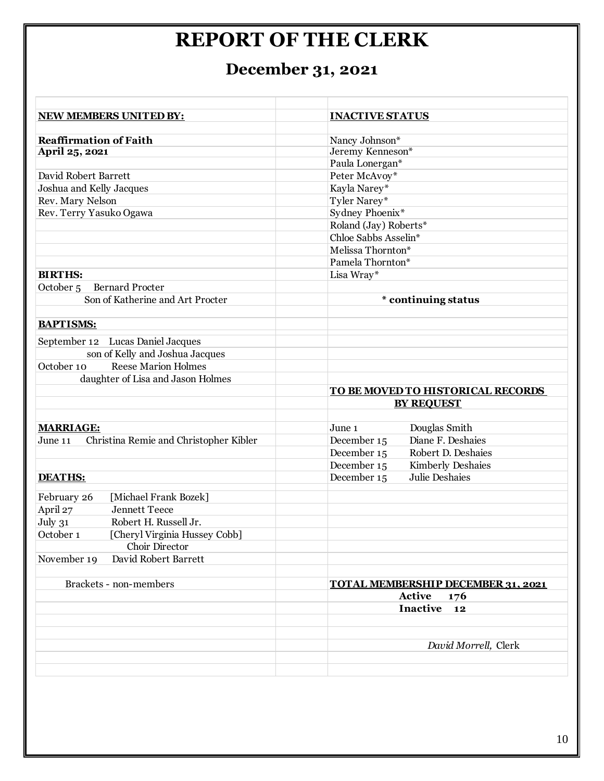## **REPORT OF THE CLERK**

## **December 31, 2021**

| NEW MEMBERS UNITED BY:                            | <b>INACTIVE STATUS</b>                    |
|---------------------------------------------------|-------------------------------------------|
|                                                   |                                           |
| <b>Reaffirmation of Faith</b>                     | Nancy Johnson*                            |
| April 25, 2021                                    | Jeremy Kenneson*                          |
|                                                   | Paula Lonergan*                           |
| David Robert Barrett                              | Peter McAvoy*                             |
| Joshua and Kelly Jacques                          | Kayla Narey*                              |
| Rev. Mary Nelson                                  | Tyler Narey*                              |
| Rev. Terry Yasuko Ogawa                           | Sydney Phoenix*                           |
|                                                   | Roland (Jay) Roberts*                     |
|                                                   | Chloe Sabbs Asselin*                      |
|                                                   | Melissa Thornton*                         |
|                                                   | Pamela Thornton*                          |
| <b>BIRTHS:</b>                                    | Lisa Wray*                                |
| <b>Bernard Procter</b><br>October <sub>5</sub>    |                                           |
| Son of Katherine and Art Procter                  | * continuing status                       |
|                                                   |                                           |
| <b>BAPTISMS:</b>                                  |                                           |
| September 12 Lucas Daniel Jacques                 |                                           |
| son of Kelly and Joshua Jacques                   |                                           |
| <b>Reese Marion Holmes</b><br>October 10          |                                           |
| daughter of Lisa and Jason Holmes                 |                                           |
|                                                   | TO BE MOVED TO HISTORICAL RECORDS         |
|                                                   | <b>BY REQUEST</b>                         |
|                                                   |                                           |
| <b>MARRIAGE:</b>                                  | Douglas Smith<br>June 1                   |
| Christina Remie and Christopher Kibler<br>June 11 | Diane F. Deshaies<br>December 15          |
|                                                   | December 15<br>Robert D. Deshaies         |
|                                                   | December 15<br><b>Kimberly Deshaies</b>   |
| <b>DEATHS:</b>                                    | December 15<br>Julie Deshaies             |
|                                                   |                                           |
| February 26<br>[Michael Frank Bozek]              |                                           |
| April 27<br><b>Jennett Teece</b>                  |                                           |
| July 31<br>Robert H. Russell Jr.                  |                                           |
| October 1<br>[Cheryl Virginia Hussey Cobb]        |                                           |
| Choir Director                                    |                                           |
| November 19<br>David Robert Barrett               |                                           |
|                                                   |                                           |
| Brackets - non-members                            | <b>TOTAL MEMBERSHIP DECEMBER 31, 2021</b> |
|                                                   | Active<br>176                             |
|                                                   | Inactive<br>12                            |
|                                                   |                                           |
|                                                   |                                           |
|                                                   | David Morrell, Clerk                      |
|                                                   |                                           |
|                                                   |                                           |
|                                                   |                                           |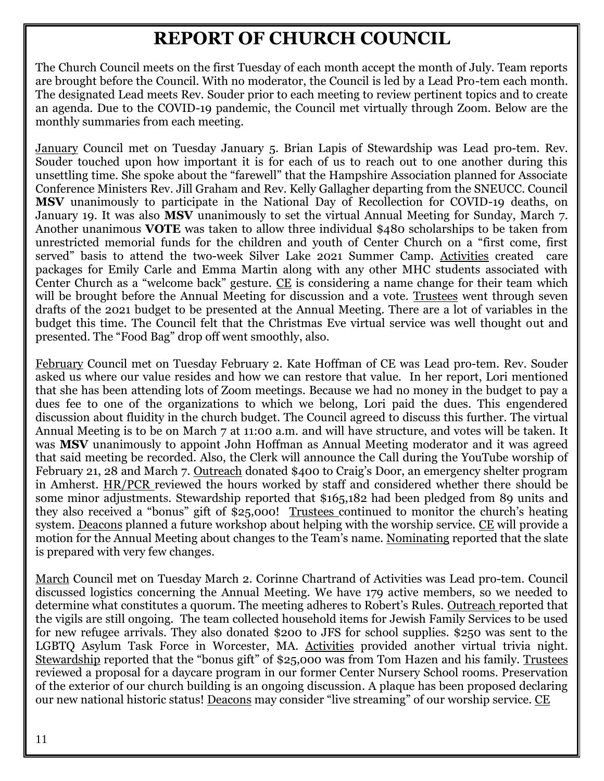### **REPORT OF CHURCH COUNCIL**

The Church Council meets on the first Tuesday of each month accept the month of July. Team reports are brought before the Council. With no moderator, the Council is led by a Lead Pro-tem each month. The designated Lead meets Rev. Souder prior to each meeting to review pertinent topics and to create an agenda. Due to the COVID-19 pandemic, the Council met virtually through Zoom. Below are the monthly summaries from each meeting.

January Council met on Tuesday January 5. Brian Lapis of Stewardship was Lead pro-tem. Rev. Souder touched upon how important it is for each of us to reach out to one another during this unsettling time. She spoke about the "farewell" that the Hampshire Association planned for Associate Conference Ministers Rev. Jill Graham and Rev. Kelly Gallagher departing from the SNEUCC. Council **MSV** unanimously to participate in the National Day of Recollection for COVID-19 deaths, on January 19. It was also **MSV** unanimously to set the virtual Annual Meeting for Sunday, March 7. Another unanimous **VOTE** was taken to allow three individual \$480 scholarships to be taken from unrestricted memorial funds for the children and youth of Center Church on a "first come, first served" basis to attend the two-week Silver Lake 2021 Summer Camp. Activities created care packages for Emily Carle and Emma Martin along with any other MHC students associated with Center Church as a "welcome back" gesture. CE is considering a name change for their team which will be brought before the Annual Meeting for discussion and a vote. Trustees went through seven drafts of the 2021 budget to be presented at the Annual Meeting. There are a lot of variables in the budget this time. The Council felt that the Christmas Eve virtual service was well thought out and presented. The "Food Bag" drop off went smoothly, also.

February Council met on Tuesday February 2. Kate Hoffman of CE was Lead pro-tem. Rev. Souder asked us where our value resides and how we can restore that value. In her report, Lori mentioned that she has been attending lots of Zoom meetings. Because we had no money in the budget to pay a dues fee to one of the organizations to which we belong, Lori paid the dues. This engendered discussion about fluidity in the church budget. The Council agreed to discuss this further. The virtual Annual Meeting is to be on March 7 at 11:00 a.m. and will have structure, and votes will be taken. It was **MSV** unanimously to appoint John Hoffman as Annual Meeting moderator and it was agreed that said meeting be recorded. Also, the Clerk will announce the Call during the YouTube worship of February 21, 28 and March 7. Outreach donated \$400 to Craig's Door, an emergency shelter program in Amherst. HR/PCR reviewed the hours worked by staff and considered whether there should be some minor adjustments. Stewardship reported that \$165,182 had been pledged from 89 units and they also received a "bonus" gift of \$25,000! Trustees continued to monitor the church's heating system. Deacons planned a future workshop about helping with the worship service. CE will provide a motion for the Annual Meeting about changes to the Team's name. Nominating reported that the slate is prepared with very few changes.

March Council met on Tuesday March 2. Corinne Chartrand of Activities was Lead pro-tem. Council discussed logistics concerning the Annual Meeting. We have 179 active members, so we needed to determine what constitutes a quorum. The meeting adheres to Robert's Rules. Outreach reported that the vigils are still ongoing. The team collected household items for Jewish Family Services to be used for new refugee arrivals. They also donated \$200 to JFS for school supplies. \$250 was sent to the LGBTQ Asylum Task Force in Worcester, MA. Activities provided another virtual trivia night. Stewardship reported that the "bonus gift" of \$25,000 was from Tom Hazen and his family. Trustees reviewed a proposal for a daycare program in our former Center Nursery School rooms. Preservation of the exterior of our church building is an ongoing discussion. A plaque has been proposed declaring our new national historic status! Deacons may consider "live streaming" of our worship service. CE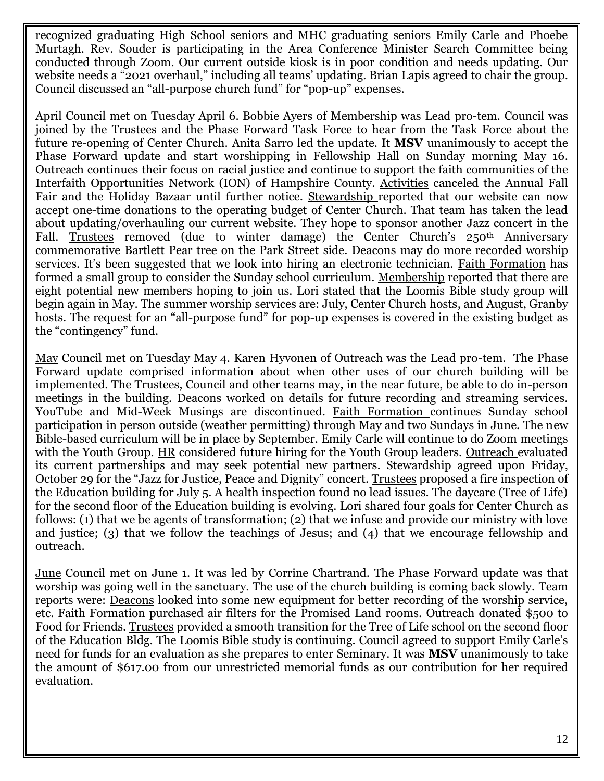recognized graduating High School seniors and MHC graduating seniors Emily Carle and Phoebe Murtagh. Rev. Souder is participating in the Area Conference Minister Search Committee being conducted through Zoom. Our current outside kiosk is in poor condition and needs updating. Our website needs a "2021 overhaul," including all teams' updating. Brian Lapis agreed to chair the group. Council discussed an "all-purpose church fund" for "pop-up" expenses.

April Council met on Tuesday April 6. Bobbie Ayers of Membership was Lead pro-tem. Council was joined by the Trustees and the Phase Forward Task Force to hear from the Task Force about the future re-opening of Center Church. Anita Sarro led the update. It **MSV** unanimously to accept the Phase Forward update and start worshipping in Fellowship Hall on Sunday morning May 16. Outreach continues their focus on racial justice and continue to support the faith communities of the Interfaith Opportunities Network (ION) of Hampshire County. Activities canceled the Annual Fall Fair and the Holiday Bazaar until further notice. Stewardship reported that our website can now accept one-time donations to the operating budget of Center Church. That team has taken the lead about updating/overhauling our current website. They hope to sponsor another Jazz concert in the Fall. Trustees removed (due to winter damage) the Center Church's 250<sup>th</sup> Anniversary commemorative Bartlett Pear tree on the Park Street side. Deacons may do more recorded worship services. It's been suggested that we look into hiring an electronic technician. Faith Formation has formed a small group to consider the Sunday school curriculum. Membership reported that there are eight potential new members hoping to join us. Lori stated that the Loomis Bible study group will begin again in May. The summer worship services are: July, Center Church hosts, and August, Granby hosts. The request for an "all-purpose fund" for pop-up expenses is covered in the existing budget as the "contingency" fund.

May Council met on Tuesday May 4. Karen Hyvonen of Outreach was the Lead pro-tem. The Phase Forward update comprised information about when other uses of our church building will be implemented. The Trustees, Council and other teams may, in the near future, be able to do in-person meetings in the building. Deacons worked on details for future recording and streaming services. YouTube and Mid-Week Musings are discontinued. Faith Formation continues Sunday school participation in person outside (weather permitting) through May and two Sundays in June. The new Bible-based curriculum will be in place by September. Emily Carle will continue to do Zoom meetings with the Youth Group. HR considered future hiring for the Youth Group leaders. Outreach evaluated its current partnerships and may seek potential new partners. Stewardship agreed upon Friday, October 29 for the "Jazz for Justice, Peace and Dignity" concert. Trustees proposed a fire inspection of the Education building for July 5. A health inspection found no lead issues. The daycare (Tree of Life) for the second floor of the Education building is evolving. Lori shared four goals for Center Church as follows: (1) that we be agents of transformation; (2) that we infuse and provide our ministry with love and justice; (3) that we follow the teachings of Jesus; and (4) that we encourage fellowship and outreach.

June Council met on June 1. It was led by Corrine Chartrand. The Phase Forward update was that worship was going well in the sanctuary. The use of the church building is coming back slowly. Team reports were: Deacons looked into some new equipment for better recording of the worship service, etc. Faith Formation purchased air filters for the Promised Land rooms. Outreach donated \$500 to Food for Friends. Trustees provided a smooth transition for the Tree of Life school on the second floor of the Education Bldg. The Loomis Bible study is continuing. Council agreed to support Emily Carle's need for funds for an evaluation as she prepares to enter Seminary. It was **MSV** unanimously to take the amount of \$617.00 from our unrestricted memorial funds as our contribution for her required evaluation.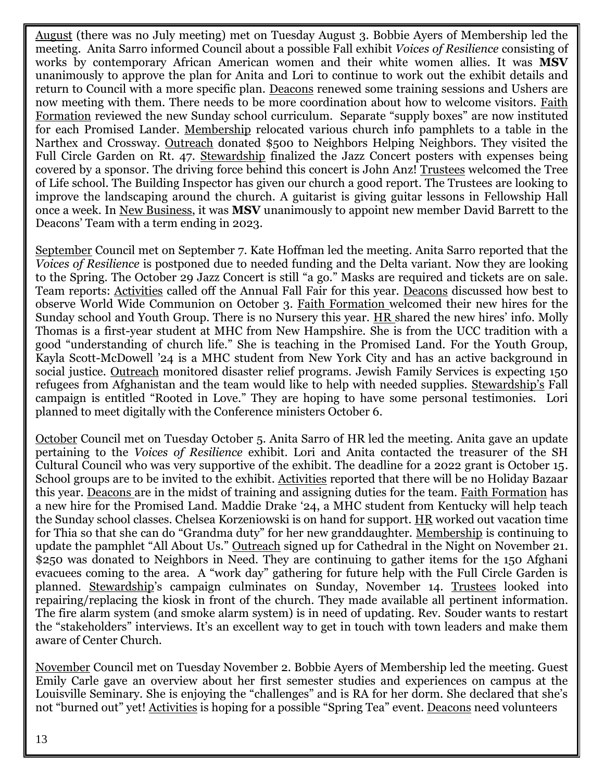August (there was no July meeting) met on Tuesday August 3. Bobbie Ayers of Membership led the meeting. Anita Sarro informed Council about a possible Fall exhibit *Voices of Resilience* consisting of works by contemporary African American women and their white women allies. It was **MSV** unanimously to approve the plan for Anita and Lori to continue to work out the exhibit details and return to Council with a more specific plan. Deacons renewed some training sessions and Ushers are now meeting with them. There needs to be more coordination about how to welcome visitors. Faith Formation reviewed the new Sunday school curriculum. Separate "supply boxes" are now instituted for each Promised Lander. Membership relocated various church info pamphlets to a table in the Narthex and Crossway. Outreach donated \$500 to Neighbors Helping Neighbors. They visited the Full Circle Garden on Rt. 47. Stewardship finalized the Jazz Concert posters with expenses being covered by a sponsor. The driving force behind this concert is John Anz! Trustees welcomed the Tree of Life school. The Building Inspector has given our church a good report. The Trustees are looking to improve the landscaping around the church. A guitarist is giving guitar lessons in Fellowship Hall once a week. In New Business, it was **MSV** unanimously to appoint new member David Barrett to the Deacons' Team with a term ending in 2023.

September Council met on September 7. Kate Hoffman led the meeting. Anita Sarro reported that the *Voices of Resilience* is postponed due to needed funding and the Delta variant. Now they are looking to the Spring. The October 29 Jazz Concert is still "a go." Masks are required and tickets are on sale. Team reports: Activities called off the Annual Fall Fair for this year. Deacons discussed how best to observe World Wide Communion on October 3. Faith Formation welcomed their new hires for the Sunday school and Youth Group. There is no Nursery this year. HR shared the new hires' info. Molly Thomas is a first-year student at MHC from New Hampshire. She is from the UCC tradition with a good "understanding of church life." She is teaching in the Promised Land. For the Youth Group, Kayla Scott-McDowell '24 is a MHC student from New York City and has an active background in social justice. Outreach monitored disaster relief programs. Jewish Family Services is expecting 150 refugees from Afghanistan and the team would like to help with needed supplies. Stewardship's Fall campaign is entitled "Rooted in Love." They are hoping to have some personal testimonies. Lori planned to meet digitally with the Conference ministers October 6.

October Council met on Tuesday October 5. Anita Sarro of HR led the meeting. Anita gave an update pertaining to the *Voices of Resilience* exhibit. Lori and Anita contacted the treasurer of the SH Cultural Council who was very supportive of the exhibit. The deadline for a 2022 grant is October 15. School groups are to be invited to the exhibit. Activities reported that there will be no Holiday Bazaar this year. Deacons are in the midst of training and assigning duties for the team. Faith Formation has a new hire for the Promised Land. Maddie Drake '24, a MHC student from Kentucky will help teach the Sunday school classes. Chelsea Korzeniowski is on hand for support. HR worked out vacation time for Thia so that she can do "Grandma duty" for her new granddaughter. Membership is continuing to update the pamphlet "All About Us." Outreach signed up for Cathedral in the Night on November 21. \$250 was donated to Neighbors in Need. They are continuing to gather items for the 150 Afghani evacuees coming to the area. A "work day" gathering for future help with the Full Circle Garden is planned. Stewardship's campaign culminates on Sunday, November 14. Trustees looked into repairing/replacing the kiosk in front of the church. They made available all pertinent information. The fire alarm system (and smoke alarm system) is in need of updating. Rev. Souder wants to restart the "stakeholders" interviews. It's an excellent way to get in touch with town leaders and make them aware of Center Church.

November Council met on Tuesday November 2. Bobbie Ayers of Membership led the meeting. Guest Emily Carle gave an overview about her first semester studies and experiences on campus at the Louisville Seminary. She is enjoying the "challenges" and is RA for her dorm. She declared that she's not "burned out" yet! Activities is hoping for a possible "Spring Tea" event. Deacons need volunteers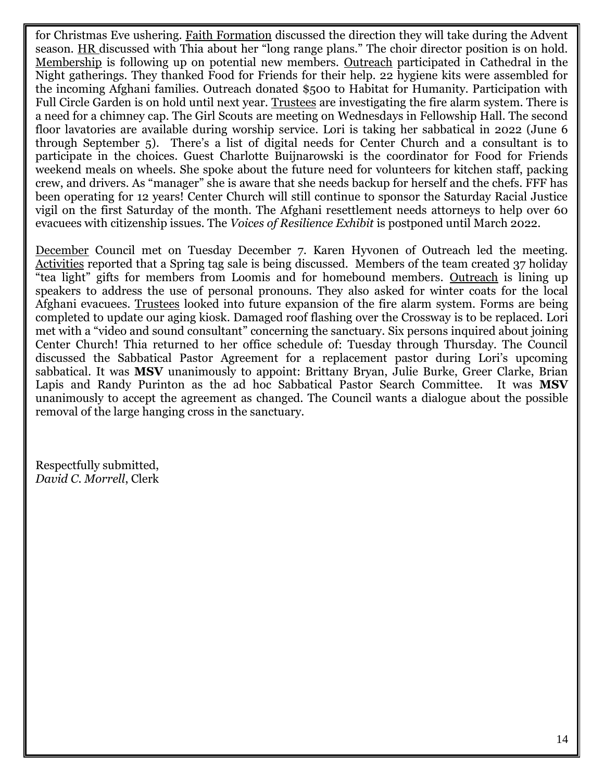for Christmas Eve ushering. Faith Formation discussed the direction they will take during the Advent season. HR discussed with Thia about her "long range plans." The choir director position is on hold. Membership is following up on potential new members. Outreach participated in Cathedral in the Night gatherings. They thanked Food for Friends for their help. 22 hygiene kits were assembled for the incoming Afghani families. Outreach donated \$500 to Habitat for Humanity. Participation with Full Circle Garden is on hold until next year. Trustees are investigating the fire alarm system. There is a need for a chimney cap. The Girl Scouts are meeting on Wednesdays in Fellowship Hall. The second floor lavatories are available during worship service. Lori is taking her sabbatical in 2022 (June 6 through September 5). There's a list of digital needs for Center Church and a consultant is to participate in the choices. Guest Charlotte Buijnarowski is the coordinator for Food for Friends weekend meals on wheels. She spoke about the future need for volunteers for kitchen staff, packing crew, and drivers. As "manager" she is aware that she needs backup for herself and the chefs. FFF has been operating for 12 years! Center Church will still continue to sponsor the Saturday Racial Justice vigil on the first Saturday of the month. The Afghani resettlement needs attorneys to help over 60 evacuees with citizenship issues. The *Voices of Resilience Exhibit* is postponed until March 2022.

December Council met on Tuesday December 7. Karen Hyvonen of Outreach led the meeting. Activities reported that a Spring tag sale is being discussed. Members of the team created 37 holiday "tea light" gifts for members from Loomis and for homebound members. Outreach is lining up speakers to address the use of personal pronouns. They also asked for winter coats for the local Afghani evacuees. Trustees looked into future expansion of the fire alarm system. Forms are being completed to update our aging kiosk. Damaged roof flashing over the Crossway is to be replaced. Lori met with a "video and sound consultant" concerning the sanctuary. Six persons inquired about joining Center Church! Thia returned to her office schedule of: Tuesday through Thursday. The Council discussed the Sabbatical Pastor Agreement for a replacement pastor during Lori's upcoming sabbatical. It was **MSV** unanimously to appoint: Brittany Bryan, Julie Burke, Greer Clarke, Brian Lapis and Randy Purinton as the ad hoc Sabbatical Pastor Search Committee. It was **MSV** unanimously to accept the agreement as changed. The Council wants a dialogue about the possible removal of the large hanging cross in the sanctuary.

Respectfully submitted, *David C. Morrell*, Clerk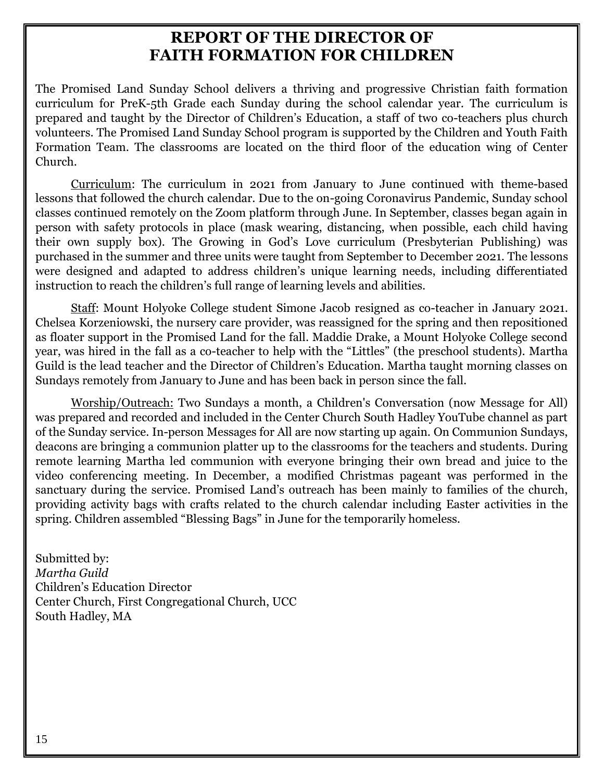### **REPORT OF THE DIRECTOR OF FAITH FORMATION FOR CHILDREN**

The Promised Land Sunday School delivers a thriving and progressive Christian faith formation curriculum for PreK-5th Grade each Sunday during the school calendar year. The curriculum is prepared and taught by the Director of Children's Education, a staff of two co-teachers plus church volunteers. The Promised Land Sunday School program is supported by the Children and Youth Faith Formation Team. The classrooms are located on the third floor of the education wing of Center Church.

Curriculum: The curriculum in 2021 from January to June continued with theme-based lessons that followed the church calendar. Due to the on-going Coronavirus Pandemic, Sunday school classes continued remotely on the Zoom platform through June. In September, classes began again in person with safety protocols in place (mask wearing, distancing, when possible, each child having their own supply box). The Growing in God's Love curriculum (Presbyterian Publishing) was purchased in the summer and three units were taught from September to December 2021. The lessons were designed and adapted to address children's unique learning needs, including differentiated instruction to reach the children's full range of learning levels and abilities.

Staff: Mount Holyoke College student Simone Jacob resigned as co-teacher in January 2021. Chelsea Korzeniowski, the nursery care provider, was reassigned for the spring and then repositioned as floater support in the Promised Land for the fall. Maddie Drake, a Mount Holyoke College second year, was hired in the fall as a co-teacher to help with the "Littles" (the preschool students). Martha Guild is the lead teacher and the Director of Children's Education. Martha taught morning classes on Sundays remotely from January to June and has been back in person since the fall.

Worship/Outreach: Two Sundays a month, a Children's Conversation (now Message for All) was prepared and recorded and included in the Center Church South Hadley YouTube channel as part of the Sunday service. In-person Messages for All are now starting up again. On Communion Sundays, deacons are bringing a communion platter up to the classrooms for the teachers and students. During remote learning Martha led communion with everyone bringing their own bread and juice to the video conferencing meeting. In December, a modified Christmas pageant was performed in the sanctuary during the service. Promised Land's outreach has been mainly to families of the church, providing activity bags with crafts related to the church calendar including Easter activities in the spring. Children assembled "Blessing Bags" in June for the temporarily homeless.

Submitted by: *Martha Guild* Children's Education Director Center Church, First Congregational Church, UCC South Hadley, MA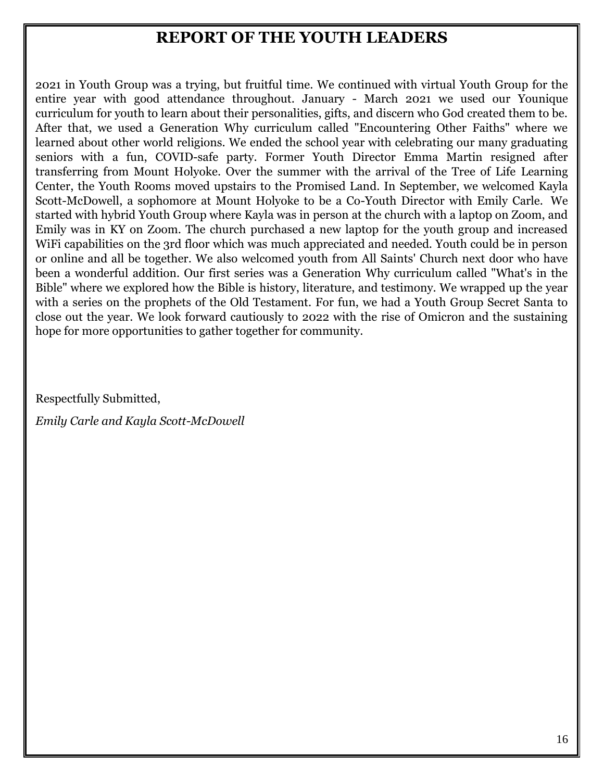### **REPORT OF THE YOUTH LEADERS**

2021 in Youth Group was a trying, but fruitful time. We continued with virtual Youth Group for the entire year with good attendance throughout. January - March 2021 we used our Younique curriculum for youth to learn about their personalities, gifts, and discern who God created them to be. After that, we used a Generation Why curriculum called "Encountering Other Faiths" where we learned about other world religions. We ended the school year with celebrating our many graduating seniors with a fun, COVID-safe party. Former Youth Director Emma Martin resigned after transferring from Mount Holyoke. Over the summer with the arrival of the Tree of Life Learning Center, the Youth Rooms moved upstairs to the Promised Land. In September, we welcomed Kayla Scott-McDowell, a sophomore at Mount Holyoke to be a Co-Youth Director with Emily Carle. We started with hybrid Youth Group where Kayla was in person at the church with a laptop on Zoom, and Emily was in KY on Zoom. The church purchased a new laptop for the youth group and increased WiFi capabilities on the 3rd floor which was much appreciated and needed. Youth could be in person or online and all be together. We also welcomed youth from All Saints' Church next door who have been a wonderful addition. Our first series was a Generation Why curriculum called "What's in the Bible" where we explored how the Bible is history, literature, and testimony. We wrapped up the year with a series on the prophets of the Old Testament. For fun, we had a Youth Group Secret Santa to close out the year. We look forward cautiously to 2022 with the rise of Omicron and the sustaining hope for more opportunities to gather together for community.

Respectfully Submitted,

*Emily Carle and Kayla Scott-McDowell*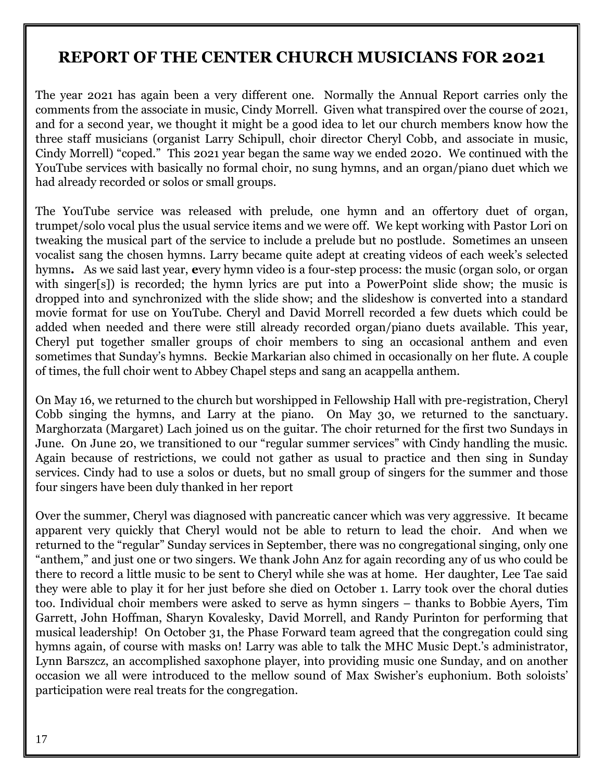### **REPORT OF THE CENTER CHURCH MUSICIANS FOR 2021**

The year 2021 has again been a very different one. Normally the Annual Report carries only the comments from the associate in music, Cindy Morrell. Given what transpired over the course of 2021, and for a second year, we thought it might be a good idea to let our church members know how the three staff musicians (organist Larry Schipull, choir director Cheryl Cobb, and associate in music, Cindy Morrell) "coped." This 2021 year began the same way we ended 2020. We continued with the YouTube services with basically no formal choir, no sung hymns, and an organ/piano duet which we had already recorded or solos or small groups.

The YouTube service was released with prelude, one hymn and an offertory duet of organ, trumpet/solo vocal plus the usual service items and we were off. We kept working with Pastor Lori on tweaking the musical part of the service to include a prelude but no postlude. Sometimes an unseen vocalist sang the chosen hymns. Larry became quite adept at creating videos of each week's selected hymns**.** As we said last year, **e**very hymn video is a four-step process: the music (organ solo, or organ with singer[s]) is recorded; the hymn lyrics are put into a PowerPoint slide show; the music is dropped into and synchronized with the slide show; and the slideshow is converted into a standard movie format for use on YouTube. Cheryl and David Morrell recorded a few duets which could be added when needed and there were still already recorded organ/piano duets available. This year, Cheryl put together smaller groups of choir members to sing an occasional anthem and even sometimes that Sunday's hymns. Beckie Markarian also chimed in occasionally on her flute. A couple of times, the full choir went to Abbey Chapel steps and sang an acappella anthem.

On May 16, we returned to the church but worshipped in Fellowship Hall with pre-registration, Cheryl Cobb singing the hymns, and Larry at the piano. On May 30, we returned to the sanctuary. Marghorzata (Margaret) Lach joined us on the guitar. The choir returned for the first two Sundays in June. On June 20, we transitioned to our "regular summer services" with Cindy handling the music. Again because of restrictions, we could not gather as usual to practice and then sing in Sunday services. Cindy had to use a solos or duets, but no small group of singers for the summer and those four singers have been duly thanked in her report

Over the summer, Cheryl was diagnosed with pancreatic cancer which was very aggressive. It became apparent very quickly that Cheryl would not be able to return to lead the choir. And when we returned to the "regular" Sunday services in September, there was no congregational singing, only one "anthem," and just one or two singers. We thank John Anz for again recording any of us who could be there to record a little music to be sent to Cheryl while she was at home. Her daughter, Lee Tae said they were able to play it for her just before she died on October 1. Larry took over the choral duties too. Individual choir members were asked to serve as hymn singers – thanks to Bobbie Ayers, Tim Garrett, John Hoffman, Sharyn Kovalesky, David Morrell, and Randy Purinton for performing that musical leadership! On October 31, the Phase Forward team agreed that the congregation could sing hymns again, of course with masks on! Larry was able to talk the MHC Music Dept.'s administrator, Lynn Barszcz, an accomplished saxophone player, into providing music one Sunday, and on another occasion we all were introduced to the mellow sound of Max Swisher's euphonium. Both soloists' participation were real treats for the congregation.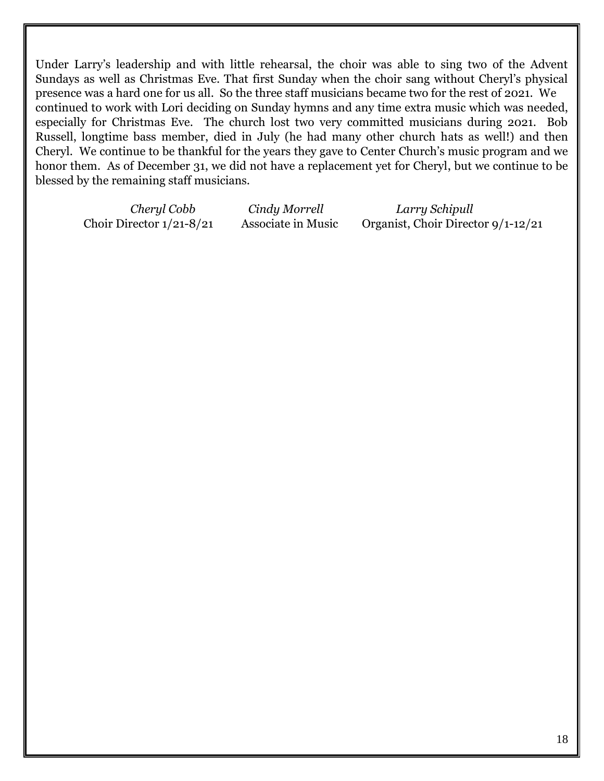Under Larry's leadership and with little rehearsal, the choir was able to sing two of the Advent Sundays as well as Christmas Eve. That first Sunday when the choir sang without Cheryl's physical presence was a hard one for us all. So the three staff musicians became two for the rest of 2021. We continued to work with Lori deciding on Sunday hymns and any time extra music which was needed, especially for Christmas Eve. The church lost two very committed musicians during 2021. Bob Russell, longtime bass member, died in July (he had many other church hats as well!) and then Cheryl. We continue to be thankful for the years they gave to Center Church's music program and we honor them. As of December 31, we did not have a replacement yet for Cheryl, but we continue to be blessed by the remaining staff musicians.

*Cheryl Cobb Cindy Morrell Larry Schipull* Choir Director 1/21-8/21 Associate in Music Organist, Choir Director 9/1-12/21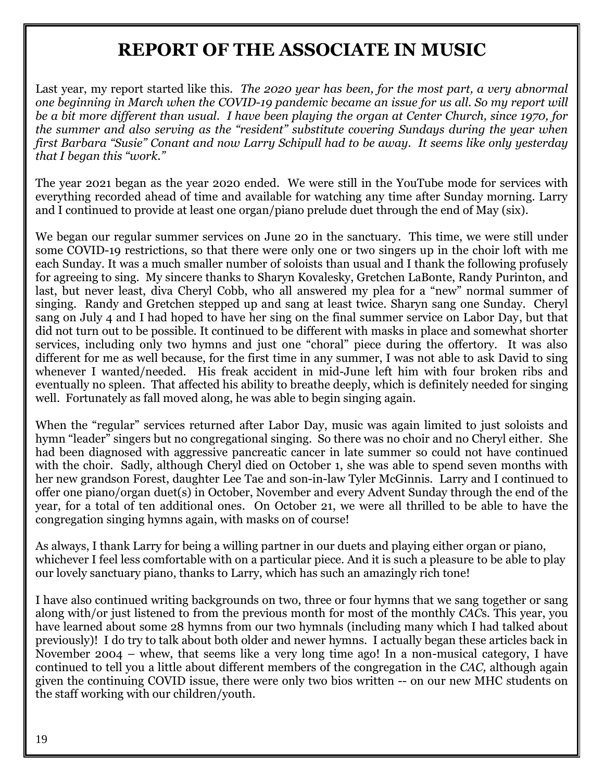### **REPORT OF THE ASSOCIATE IN MUSIC**

Last year, my report started like this. *The 2020 year has been, for the most part, a very abnormal one beginning in March when the COVID-19 pandemic became an issue for us all. So my report will be a bit more different than usual. I have been playing the organ at Center Church, since 1970, for the summer and also serving as the "resident" substitute covering Sundays during the year when first Barbara "Susie" Conant and now Larry Schipull had to be away. It seems like only yesterday that I began this "work."*

The year 2021 began as the year 2020 ended. We were still in the YouTube mode for services with everything recorded ahead of time and available for watching any time after Sunday morning. Larry and I continued to provide at least one organ/piano prelude duet through the end of May (six).

We began our regular summer services on June 20 in the sanctuary. This time, we were still under some COVID-19 restrictions, so that there were only one or two singers up in the choir loft with me each Sunday. It was a much smaller number of soloists than usual and I thank the following profusely for agreeing to sing. My sincere thanks to Sharyn Kovalesky, Gretchen LaBonte, Randy Purinton, and last, but never least, diva Cheryl Cobb, who all answered my plea for a "new" normal summer of singing. Randy and Gretchen stepped up and sang at least twice. Sharyn sang one Sunday. Cheryl sang on July 4 and I had hoped to have her sing on the final summer service on Labor Day, but that did not turn out to be possible. It continued to be different with masks in place and somewhat shorter services, including only two hymns and just one "choral" piece during the offertory. It was also different for me as well because, for the first time in any summer, I was not able to ask David to sing whenever I wanted/needed. His freak accident in mid-June left him with four broken ribs and eventually no spleen. That affected his ability to breathe deeply, which is definitely needed for singing well. Fortunately as fall moved along, he was able to begin singing again.

When the "regular" services returned after Labor Day, music was again limited to just soloists and hymn "leader" singers but no congregational singing. So there was no choir and no Cheryl either. She had been diagnosed with aggressive pancreatic cancer in late summer so could not have continued with the choir. Sadly, although Cheryl died on October 1, she was able to spend seven months with her new grandson Forest, daughter Lee Tae and son-in-law Tyler McGinnis. Larry and I continued to offer one piano/organ duet(s) in October, November and every Advent Sunday through the end of the year, for a total of ten additional ones. On October 21, we were all thrilled to be able to have the congregation singing hymns again, with masks on of course!

As always, I thank Larry for being a willing partner in our duets and playing either organ or piano, whichever I feel less comfortable with on a particular piece. And it is such a pleasure to be able to play our lovely sanctuary piano, thanks to Larry, which has such an amazingly rich tone!

I have also continued writing backgrounds on two, three or four hymns that we sang together or sang along with/or just listened to from the previous month for most of the monthly *CAC*s*.* This year, you have learned about some 28 hymns from our two hymnals (including many which I had talked about previously)! I do try to talk about both older and newer hymns. I actually began these articles back in November 2004 – whew, that seems like a very long time ago! In a non-musical category, I have continued to tell you a little about different members of the congregation in the *CAC,* although again given the continuing COVID issue, there were only two bios written -- on our new MHC students on the staff working with our children/youth.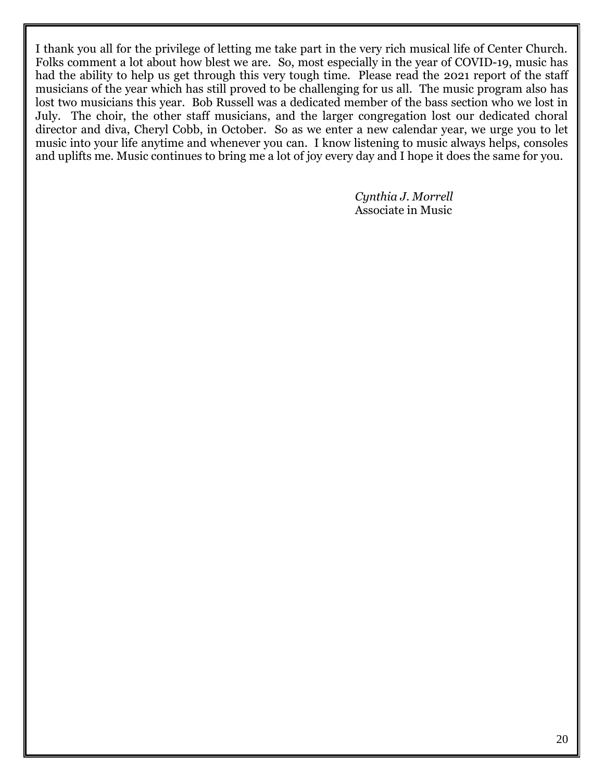I thank you all for the privilege of letting me take part in the very rich musical life of Center Church. Folks comment a lot about how blest we are. So, most especially in the year of COVID-19, music has had the ability to help us get through this very tough time. Please read the 2021 report of the staff musicians of the year which has still proved to be challenging for us all. The music program also has lost two musicians this year. Bob Russell was a dedicated member of the bass section who we lost in July. The choir, the other staff musicians, and the larger congregation lost our dedicated choral director and diva, Cheryl Cobb, in October. So as we enter a new calendar year, we urge you to let music into your life anytime and whenever you can. I know listening to music always helps, consoles and uplifts me. Music continues to bring me a lot of joy every day and I hope it does the same for you.

> *Cynthia J. Morrell* Associate in Music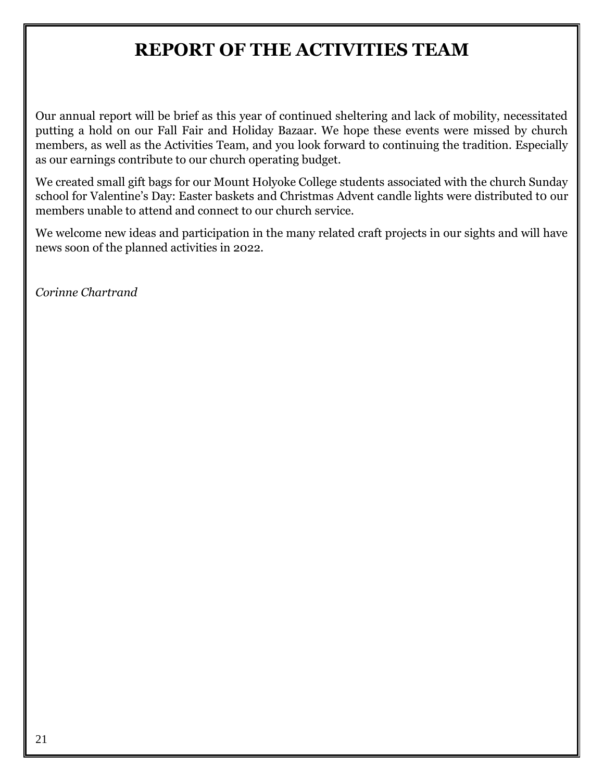### **REPORT OF THE ACTIVITIES TEAM**

Our annual report will be brief as this year of continued sheltering and lack of mobility, necessitated putting a hold on our Fall Fair and Holiday Bazaar. We hope these events were missed by church members, as well as the Activities Team, and you look forward to continuing the tradition. Especially as our earnings contribute to our church operating budget.

We created small gift bags for our Mount Holyoke College students associated with the church Sunday school for Valentine's Day: Easter baskets and Christmas Advent candle lights were distributed to our members unable to attend and connect to our church service.

We welcome new ideas and participation in the many related craft projects in our sights and will have news soon of the planned activities in 2022.

*Corinne Chartrand*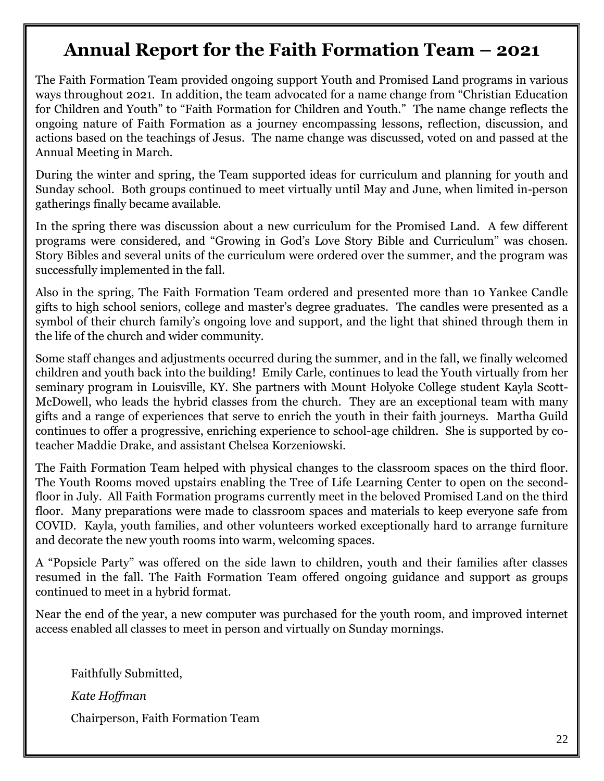### **Annual Report for the Faith Formation Team – 2021**

The Faith Formation Team provided ongoing support Youth and Promised Land programs in various ways throughout 2021. In addition, the team advocated for a name change from "Christian Education for Children and Youth" to "Faith Formation for Children and Youth." The name change reflects the ongoing nature of Faith Formation as a journey encompassing lessons, reflection, discussion, and actions based on the teachings of Jesus. The name change was discussed, voted on and passed at the Annual Meeting in March.

During the winter and spring, the Team supported ideas for curriculum and planning for youth and Sunday school. Both groups continued to meet virtually until May and June, when limited in-person gatherings finally became available.

In the spring there was discussion about a new curriculum for the Promised Land. A few different programs were considered, and "Growing in God's Love Story Bible and Curriculum" was chosen. Story Bibles and several units of the curriculum were ordered over the summer, and the program was successfully implemented in the fall.

Also in the spring, The Faith Formation Team ordered and presented more than 10 Yankee Candle gifts to high school seniors, college and master's degree graduates. The candles were presented as a symbol of their church family's ongoing love and support, and the light that shined through them in the life of the church and wider community.

Some staff changes and adjustments occurred during the summer, and in the fall, we finally welcomed children and youth back into the building! Emily Carle, continues to lead the Youth virtually from her seminary program in Louisville, KY. She partners with Mount Holyoke College student Kayla Scott-McDowell, who leads the hybrid classes from the church. They are an exceptional team with many gifts and a range of experiences that serve to enrich the youth in their faith journeys. Martha Guild continues to offer a progressive, enriching experience to school-age children. She is supported by coteacher Maddie Drake, and assistant Chelsea Korzeniowski.

The Faith Formation Team helped with physical changes to the classroom spaces on the third floor. The Youth Rooms moved upstairs enabling the Tree of Life Learning Center to open on the secondfloor in July. All Faith Formation programs currently meet in the beloved Promised Land on the third floor. Many preparations were made to classroom spaces and materials to keep everyone safe from COVID. Kayla, youth families, and other volunteers worked exceptionally hard to arrange furniture and decorate the new youth rooms into warm, welcoming spaces.

A "Popsicle Party" was offered on the side lawn to children, youth and their families after classes resumed in the fall. The Faith Formation Team offered ongoing guidance and support as groups continued to meet in a hybrid format.

Near the end of the year, a new computer was purchased for the youth room, and improved internet access enabled all classes to meet in person and virtually on Sunday mornings.

Faithfully Submitted, *Kate Hoffman* Chairperson, Faith Formation Team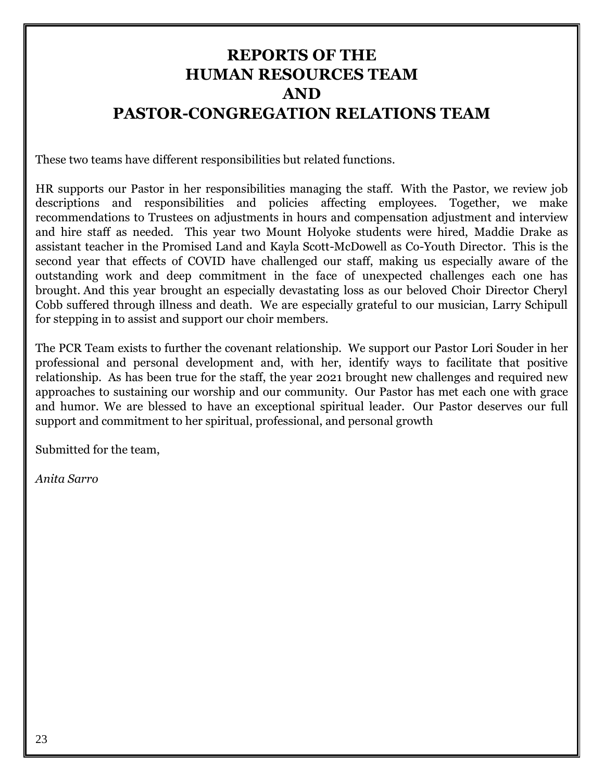### **REPORTS OF THE HUMAN RESOURCES TEAM AND PASTOR-CONGREGATION RELATIONS TEAM**

These two teams have different responsibilities but related functions.

HR supports our Pastor in her responsibilities managing the staff. With the Pastor, we review job descriptions and responsibilities and policies affecting employees. Together, we make recommendations to Trustees on adjustments in hours and compensation adjustment and interview and hire staff as needed. This year two Mount Holyoke students were hired, Maddie Drake as assistant teacher in the Promised Land and Kayla Scott-McDowell as Co-Youth Director. This is the second year that effects of COVID have challenged our staff, making us especially aware of the outstanding work and deep commitment in the face of unexpected challenges each one has brought. And this year brought an especially devastating loss as our beloved Choir Director Cheryl Cobb suffered through illness and death. We are especially grateful to our musician, Larry Schipull for stepping in to assist and support our choir members.

The PCR Team exists to further the covenant relationship. We support our Pastor Lori Souder in her professional and personal development and, with her, identify ways to facilitate that positive relationship. As has been true for the staff, the year 2021 brought new challenges and required new approaches to sustaining our worship and our community. Our Pastor has met each one with grace and humor. We are blessed to have an exceptional spiritual leader. Our Pastor deserves our full support and commitment to her spiritual, professional, and personal growth

Submitted for the team,

*Anita Sarro*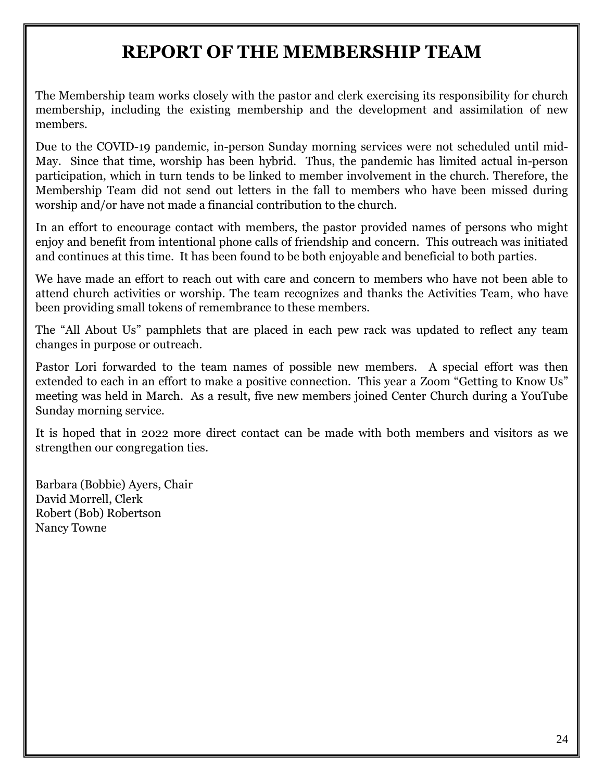### **REPORT OF THE MEMBERSHIP TEAM**

The Membership team works closely with the pastor and clerk exercising its responsibility for church membership, including the existing membership and the development and assimilation of new members.

Due to the COVID-19 pandemic, in-person Sunday morning services were not scheduled until mid-May. Since that time, worship has been hybrid. Thus, the pandemic has limited actual in-person participation, which in turn tends to be linked to member involvement in the church. Therefore, the Membership Team did not send out letters in the fall to members who have been missed during worship and/or have not made a financial contribution to the church.

In an effort to encourage contact with members, the pastor provided names of persons who might enjoy and benefit from intentional phone calls of friendship and concern. This outreach was initiated and continues at this time. It has been found to be both enjoyable and beneficial to both parties.

We have made an effort to reach out with care and concern to members who have not been able to attend church activities or worship. The team recognizes and thanks the Activities Team, who have been providing small tokens of remembrance to these members.

The "All About Us" pamphlets that are placed in each pew rack was updated to reflect any team changes in purpose or outreach.

Pastor Lori forwarded to the team names of possible new members. A special effort was then extended to each in an effort to make a positive connection. This year a Zoom "Getting to Know Us" meeting was held in March. As a result, five new members joined Center Church during a YouTube Sunday morning service.

It is hoped that in 2022 more direct contact can be made with both members and visitors as we strengthen our congregation ties.

Barbara (Bobbie) Ayers, Chair David Morrell, Clerk Robert (Bob) Robertson Nancy Towne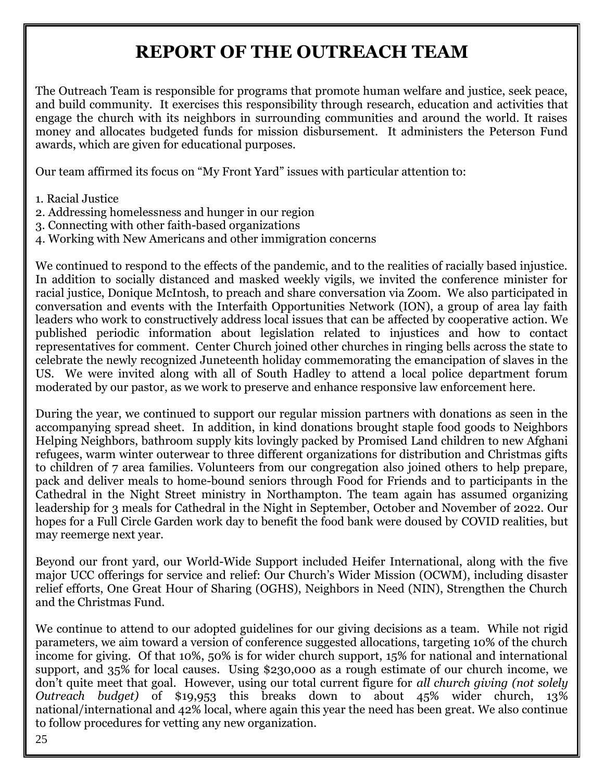### **REPORT OF THE OUTREACH TEAM**

The Outreach Team is responsible for programs that promote human welfare and justice, seek peace, and build community. It exercises this responsibility through research, education and activities that engage the church with its neighbors in surrounding communities and around the world. It raises money and allocates budgeted funds for mission disbursement. It administers the Peterson Fund awards, which are given for educational purposes.

Our team affirmed its focus on "My Front Yard" issues with particular attention to:

- 1. Racial Justice
- 2. Addressing homelessness and hunger in our region
- 3. Connecting with other faith-based organizations
- 4. Working with New Americans and other immigration concerns

We continued to respond to the effects of the pandemic, and to the realities of racially based injustice. In addition to socially distanced and masked weekly vigils, we invited the conference minister for racial justice, Donique McIntosh, to preach and share conversation via Zoom. We also participated in conversation and events with the Interfaith Opportunities Network (ION), a group of area lay faith leaders who work to constructively address local issues that can be affected by cooperative action. We published periodic information about legislation related to injustices and how to contact representatives for comment. Center Church joined other churches in ringing bells across the state to celebrate the newly recognized Juneteenth holiday commemorating the emancipation of slaves in the US. We were invited along with all of South Hadley to attend a local police department forum moderated by our pastor, as we work to preserve and enhance responsive law enforcement here.

During the year, we continued to support our regular mission partners with donations as seen in the accompanying spread sheet. In addition, in kind donations brought staple food goods to Neighbors Helping Neighbors, bathroom supply kits lovingly packed by Promised Land children to new Afghani refugees, warm winter outerwear to three different organizations for distribution and Christmas gifts to children of 7 area families. Volunteers from our congregation also joined others to help prepare, pack and deliver meals to home-bound seniors through Food for Friends and to participants in the Cathedral in the Night Street ministry in Northampton. The team again has assumed organizing leadership for 3 meals for Cathedral in the Night in September, October and November of 2022. Our hopes for a Full Circle Garden work day to benefit the food bank were doused by COVID realities, but may reemerge next year.

Beyond our front yard, our World-Wide Support included Heifer International, along with the five major UCC offerings for service and relief: Our Church's Wider Mission (OCWM), including disaster relief efforts, One Great Hour of Sharing (OGHS), Neighbors in Need (NIN), Strengthen the Church and the Christmas Fund.

We continue to attend to our adopted guidelines for our giving decisions as a team. While not rigid parameters, we aim toward a version of conference suggested allocations, targeting 10% of the church income for giving. Of that 10%, 50% is for wider church support, 15% for national and international support, and 35% for local causes. Using \$230,000 as a rough estimate of our church income, we don't quite meet that goal. However, using our total current figure for *all church giving (not solely Outreach budget)* of \$19,953 this breaks down to about 45% wider church, 13% national/international and 42% local, where again this year the need has been great. We also continue to follow procedures for vetting any new organization.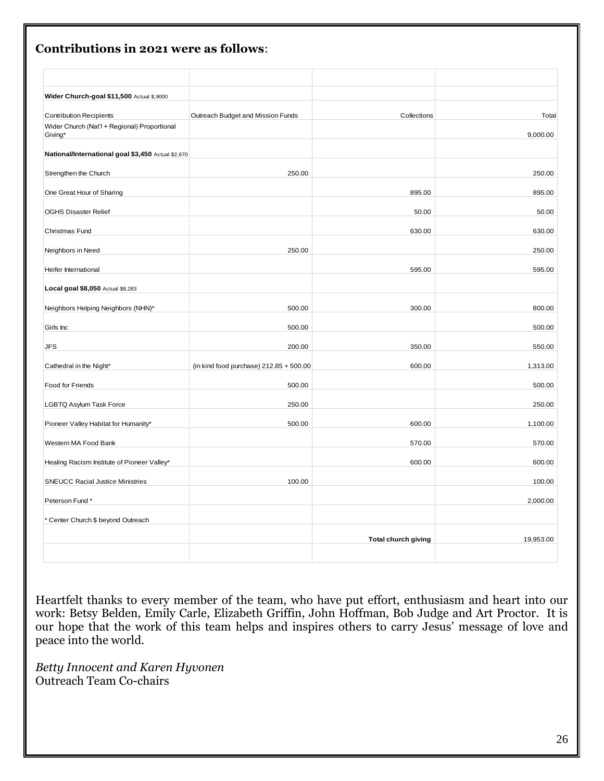| Wider Church-goal \$11,500 Actual \$,9000               |                                           |                            |           |
|---------------------------------------------------------|-------------------------------------------|----------------------------|-----------|
| <b>Contribution Recipients</b>                          | Outreach Budget and Mission Funds         | Collections                | Total     |
| Wider Church (Nat'l + Regional) Proportional<br>Giving* |                                           |                            | 9,000.00  |
| National/International goal \$3,450 Actual \$2,670      |                                           |                            |           |
| Strengthen the Church                                   | 250.00                                    |                            | 250.00    |
| One Great Hour of Sharing                               |                                           | 895.00                     | 895.00    |
| <b>OGHS Disaster Relief</b>                             |                                           | 50.00                      | 50.00     |
| Christmas Fund                                          |                                           | 630.00                     | 630.00    |
| Neighbors in Need                                       | 250.00                                    |                            | 250.00    |
| Heifer International                                    |                                           | 595.00                     | 595.00    |
| Local goal \$8,050 Actual \$8,283                       |                                           |                            |           |
| Neighbors Helping Neighbors (NHN)*                      | 500.00                                    | 300.00                     | 800.00    |
| Girls Inc                                               | 500.00                                    |                            | 500.00    |
| <b>JFS</b>                                              | 200.00                                    | 350.00                     | 550.00    |
| Cathedral in the Night*                                 | (in kind food purchase) $212.85 + 500.00$ | 600.00                     | 1,313.00  |
| Food for Friends                                        | 500.00                                    |                            | 500.00    |
| <b>LGBTQ Asylum Task Force</b>                          | 250.00                                    |                            | 250.00    |
| Pioneer Valley Habitat for Humanity*                    | 500.00                                    | 600.00                     | 1,100.00  |
| Western MA Food Bank                                    |                                           | 570.00                     | 570.00    |
| Healing Racism Institute of Pioneer Valley*             |                                           | 600.00                     | 600.00    |
| <b>SNEUCC Racial Justice Ministries</b>                 | 100.00                                    |                            | 100.00    |
| Peterson Fund *                                         |                                           |                            | 2,000.00  |
| * Center Church \$ beyond Outreach                      |                                           |                            |           |
|                                                         |                                           | <b>Total church giving</b> | 19,953.00 |
|                                                         |                                           |                            |           |

## **Contributions in 2021 were as follows**:

Heartfelt thanks to every member of the team, who have put effort, enthusiasm and heart into our work: Betsy Belden, Emily Carle, Elizabeth Griffin, John Hoffman, Bob Judge and Art Proctor. It is our hope that the work of this team helps and inspires others to carry Jesus' message of love and peace into the world.

*Betty Innocent and Karen Hyvonen* Outreach Team Co-chairs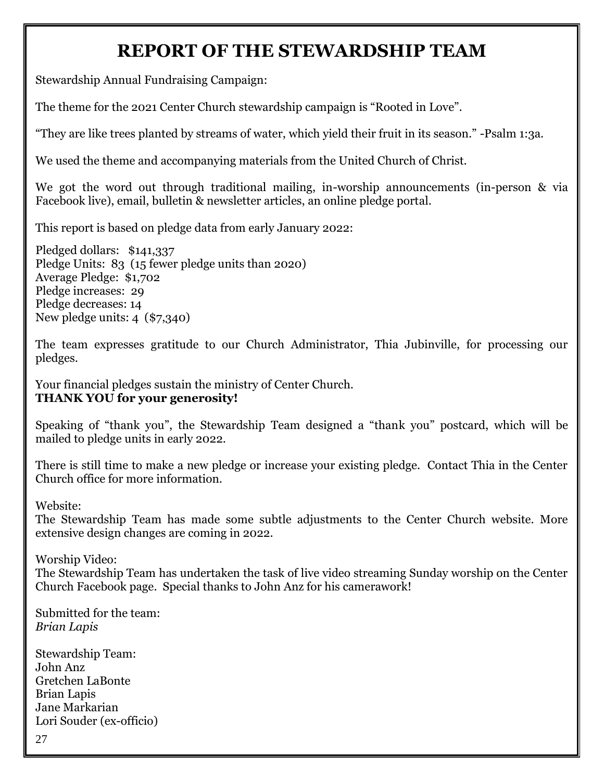### **REPORT OF THE STEWARDSHIP TEAM**

Stewardship Annual Fundraising Campaign:

The theme for the 2021 Center Church stewardship campaign is "Rooted in Love".

"They are like trees planted by streams of water, which yield their fruit in its season." -Psalm 1:3a.

We used the theme and accompanying materials from the United Church of Christ.

We got the word out through traditional mailing, in-worship announcements (in-person & via Facebook live), email, bulletin & newsletter articles, an online pledge portal.

This report is based on pledge data from early January 2022:

Pledged dollars: \$141,337 Pledge Units: 83 (15 fewer pledge units than 2020) Average Pledge: \$1,702 Pledge increases: 29 Pledge decreases: 14 New pledge units: 4 (\$7,340)

The team expresses gratitude to our Church Administrator, Thia Jubinville, for processing our pledges.

Your financial pledges sustain the ministry of Center Church. **THANK YOU for your generosity!** 

Speaking of "thank you", the Stewardship Team designed a "thank you" postcard, which will be mailed to pledge units in early 2022.

There is still time to make a new pledge or increase your existing pledge. Contact Thia in the Center Church office for more information.

Website:

The Stewardship Team has made some subtle adjustments to the Center Church website. More extensive design changes are coming in 2022.

Worship Video:

The Stewardship Team has undertaken the task of live video streaming Sunday worship on the Center Church Facebook page. Special thanks to John Anz for his camerawork!

Submitted for the team: *Brian Lapis*

Stewardship Team: John Anz Gretchen LaBonte Brian Lapis Jane Markarian Lori Souder (ex-officio)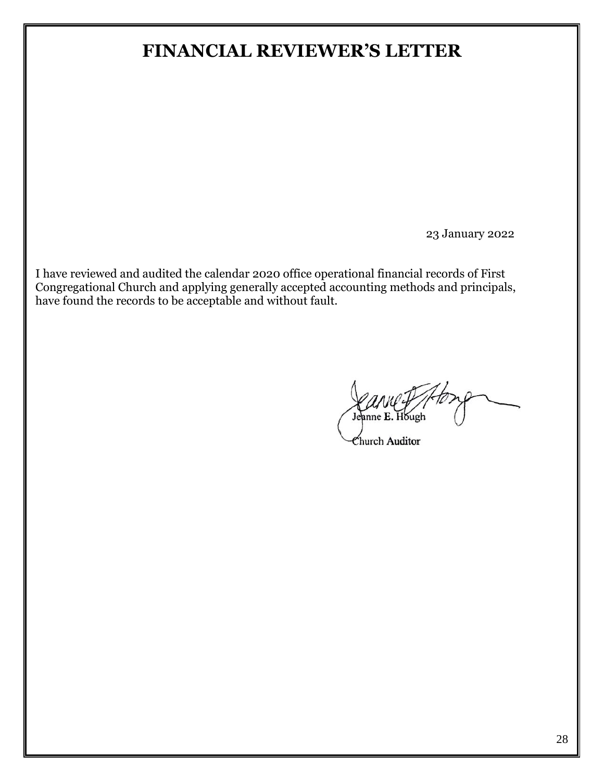### **FINANCIAL REVIEWER'S LETTER**

23 January 2022

I have reviewed and audited the calendar 2020 office operational financial records of First Congregational Church and applying generally accepted accounting methods and principals, have found the records to be acceptable and without fault.

Jeanne E. Hough

Church Auditor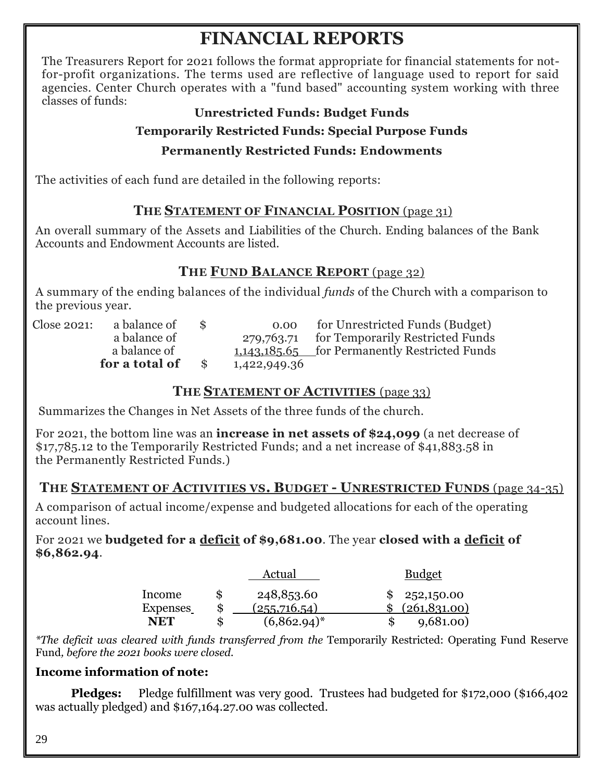## **FINANCIAL REPORTS**

The Treasurers Report for 2021 follows the format appropriate for financial statements for notfor-profit organizations. The terms used are reflective of language used to report for said agencies. Center Church operates with a "fund based" accounting system working with three classes of funds:

#### **Unrestricted Funds: Budget Funds**

#### **Temporarily Restricted Funds: Special Purpose Funds**

#### **Permanently Restricted Funds: Endowments**

The activities of each fund are detailed in the following reports:

### **THE STATEMENT OF FINANCIAL POSITION** (page 31)

An overall summary of the Assets and Liabilities of the Church. Ending balances of the Bank Accounts and Endowment Accounts are listed.

### **THE FUND BALANCE REPORT** (page 32)

A summary of the ending balances of the individual *funds* of the Church with a comparison to the previous year.

|             | for a total of | \$ |
|-------------|----------------|----|
|             | a balance of   |    |
|             | a balance of   |    |
| Close 2021: | a balance of   | \$ |

0.00 for Unrestricted Funds (Budget) 279,763.71 for Temporarily Restricted Funds 1,143,185.65 for Permanently Restricted Funds **for a total of** \$1,422,949.36

#### **THE STATEMENT OF ACTIVITIES** (page 33)

Summarizes the Changes in Net Assets of the three funds of the church.

For 2021, the bottom line was an **increase in net assets of \$24,099** (a net decrease of \$17,785.12 to the Temporarily Restricted Funds; and a net increase of \$41,883.58 in the Permanently Restricted Funds.)

#### **THE STATEMENT OF ACTIVITIES VS. BUDGET - UNRESTRICTED FUNDS** (page 34-35)

A comparison of actual income/expense and budgeted allocations for each of the operating account lines.

For 2021 we **budgeted for a deficit of \$9,681.00**. The year **closed with a deficit of \$6,862.94**.

|                        | Actual                           | <u>Budget</u>                |
|------------------------|----------------------------------|------------------------------|
| Income                 | \$<br>248,853.60                 | \$252,150.00                 |
| <b>Expenses</b><br>NET | (255,716.54)<br>$(6,862.94)^{*}$ | \$ (261,831.00)<br>9,681.00) |
|                        |                                  |                              |

*\*The deficit was cleared with funds transferred from the* Temporarily Restricted: Operating Fund Reserve Fund*, before the 2021 books were closed.*

#### **Income information of note:**

**Pledges:** Pledge fulfillment was very good. Trustees had budgeted for \$172,000 (\$166,402 was actually pledged) and \$167,164.27.00 was collected.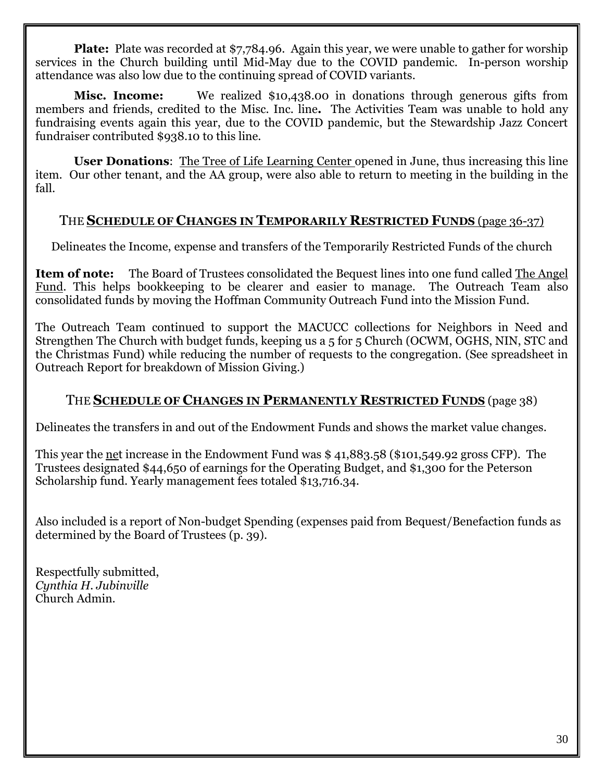**Plate:** Plate was recorded at \$7,784.96. Again this year, we were unable to gather for worship services in the Church building until Mid-May due to the COVID pandemic. In-person worship attendance was also low due to the continuing spread of COVID variants.

**Misc. Income:** We realized \$10,438.00 in donations through generous gifts from members and friends, credited to the Misc. Inc. line**.** The Activities Team was unable to hold any fundraising events again this year, due to the COVID pandemic, but the Stewardship Jazz Concert fundraiser contributed \$938.10 to this line.

**User Donations**: The Tree of Life Learning Center opened in June, thus increasing this line item. Our other tenant, and the AA group, were also able to return to meeting in the building in the fall.

#### THE **SCHEDULE OF CHANGES IN TEMPORARILY RESTRICTED FUNDS** (page 36-37)

Delineates the Income, expense and transfers of the Temporarily Restricted Funds of the church

**Item of note:** The Board of Trustees consolidated the Bequest lines into one fund called The Angel Fund. This helps bookkeeping to be clearer and easier to manage. The Outreach Team also consolidated funds by moving the Hoffman Community Outreach Fund into the Mission Fund.

The Outreach Team continued to support the MACUCC collections for Neighbors in Need and Strengthen The Church with budget funds, keeping us a 5 for 5 Church (OCWM, OGHS, NIN, STC and the Christmas Fund) while reducing the number of requests to the congregation. (See spreadsheet in Outreach Report for breakdown of Mission Giving.)

#### THE **SCHEDULE OF CHANGES IN PERMANENTLY RESTRICTED FUNDS** (page 38)

Delineates the transfers in and out of the Endowment Funds and shows the market value changes.

This year the <u>net</u> increase in the Endowment Fund was \$41,883.58 (\$101,549.92 gross CFP). The Trustees designated \$44,650 of earnings for the Operating Budget, and \$1,300 for the Peterson Scholarship fund. Yearly management fees totaled \$13,716.34.

Also included is a report of Non-budget Spending (expenses paid from Bequest/Benefaction funds as determined by the Board of Trustees (p. 39).

Respectfully submitted, *Cynthia H. Jubinville* Church Admin.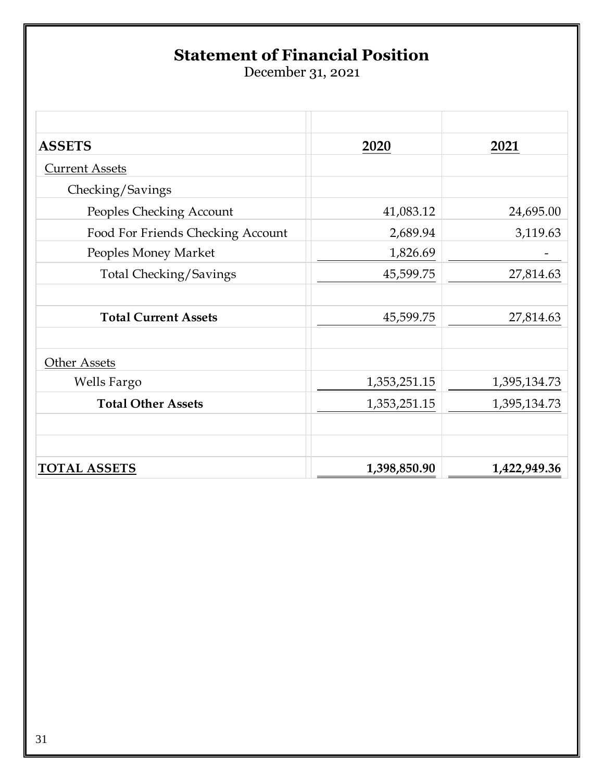## **Statement of Financial Position**

December 31, 2021

| <b>ASSETS</b>                     | 2020         | 2021         |
|-----------------------------------|--------------|--------------|
| <b>Current Assets</b>             |              |              |
| Checking/Savings                  |              |              |
| Peoples Checking Account          | 41,083.12    | 24,695.00    |
| Food For Friends Checking Account | 2,689.94     | 3,119.63     |
| Peoples Money Market              | 1,826.69     |              |
| <b>Total Checking/Savings</b>     | 45,599.75    | 27,814.63    |
| <b>Total Current Assets</b>       | 45,599.75    | 27,814.63    |
| Other Assets                      |              |              |
| Wells Fargo                       | 1,353,251.15 | 1,395,134.73 |
| <b>Total Other Assets</b>         | 1,353,251.15 | 1,395,134.73 |
| <b>TOTAL ASSETS</b>               | 1,398,850.90 | 1,422,949.36 |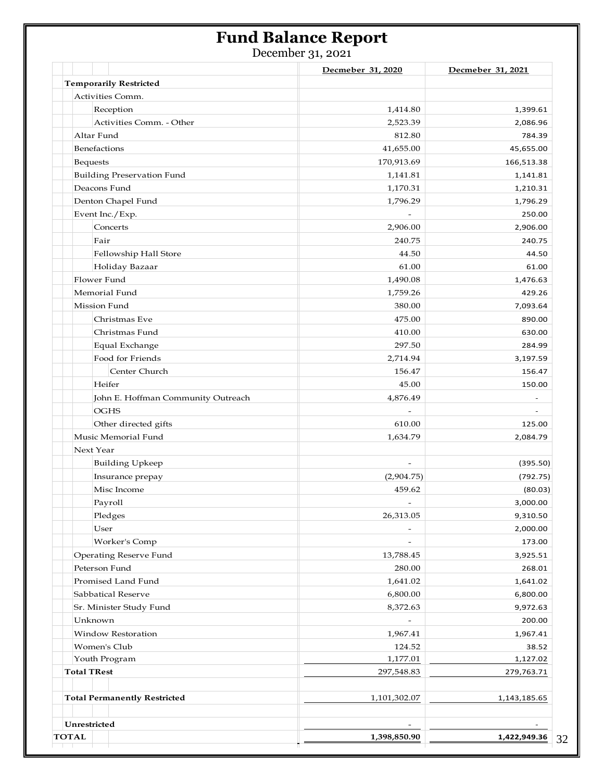### **Fund Balance Report**

December 31, 2021

|                                     | Decmeber 31, 2020        | Decmeber 31, 2021 |
|-------------------------------------|--------------------------|-------------------|
| <b>Temporarily Restricted</b>       |                          |                   |
| Activities Comm.                    |                          |                   |
| Reception                           | 1,414.80                 | 1,399.61          |
| Activities Comm. - Other            | 2,523.39                 | 2,086.96          |
| Altar Fund                          | 812.80                   | 784.39            |
| Benefactions                        | 41,655.00                | 45,655.00         |
| <b>Bequests</b>                     | 170,913.69               | 166,513.38        |
| <b>Building Preservation Fund</b>   | 1,141.81                 | 1,141.81          |
| Deacons Fund                        | 1,170.31                 | 1,210.31          |
| Denton Chapel Fund                  | 1,796.29                 | 1,796.29          |
| Event Inc./Exp.                     |                          | 250.00            |
| Concerts                            | 2,906.00                 | 2,906.00          |
| Fair                                | 240.75                   | 240.75            |
| Fellowship Hall Store               | 44.50                    | 44.50             |
| Holiday Bazaar                      | 61.00                    | 61.00             |
| Flower Fund                         | 1,490.08                 | 1,476.63          |
| Memorial Fund                       | 1,759.26                 | 429.26            |
| Mission Fund                        | 380.00                   | 7,093.64          |
| Christmas Eve                       | 475.00                   | 890.00            |
| Christmas Fund                      | 410.00                   | 630.00            |
| Equal Exchange                      | 297.50                   | 284.99            |
| Food for Friends                    | 2,714.94                 | 3,197.59          |
| Center Church                       | 156.47                   | 156.47            |
| Heifer                              | 45.00                    | 150.00            |
| John E. Hoffman Community Outreach  | 4,876.49                 |                   |
| <b>OGHS</b>                         |                          |                   |
| Other directed gifts                | 610.00                   | 125.00            |
| Music Memorial Fund                 | 1,634.79                 | 2,084.79          |
| Next Year                           |                          |                   |
| <b>Building Upkeep</b>              | $\overline{\phantom{a}}$ | (395.50)          |
| Insurance prepay                    | (2,904.75)               | (792.75)          |
| Misc Income                         | 459.62                   | (80.03)           |
| Payroll                             |                          | 3,000.00          |
| Pledges                             | 26,313.05                | 9,310.50          |
| User                                |                          | 2,000.00          |
| Worker's Comp                       |                          | 173.00            |
| Operating Reserve Fund              | 13,788.45                | 3,925.51          |
| Peterson Fund                       | 280.00                   | 268.01            |
| Promised Land Fund                  | 1,641.02                 | 1,641.02          |
| Sabbatical Reserve                  | 6,800.00                 | 6,800.00          |
| Sr. Minister Study Fund             | 8,372.63                 | 9,972.63          |
| Unknown                             | $\overline{\phantom{a}}$ | 200.00            |
| Window Restoration                  | 1,967.41                 | 1,967.41          |
| Women's Club                        | 124.52                   | 38.52             |
| Youth Program                       | 1,177.01                 | 1,127.02          |
| <b>Total TRest</b>                  | 297,548.83               | 279,763.71        |
| <b>Total Permanently Restricted</b> | 1,101,302.07             | 1,143,185.65      |
|                                     |                          |                   |
| Unrestricted                        | 1,398,850.90             |                   |
| <b>TOTAL</b>                        |                          | 1,422,949.36      |

32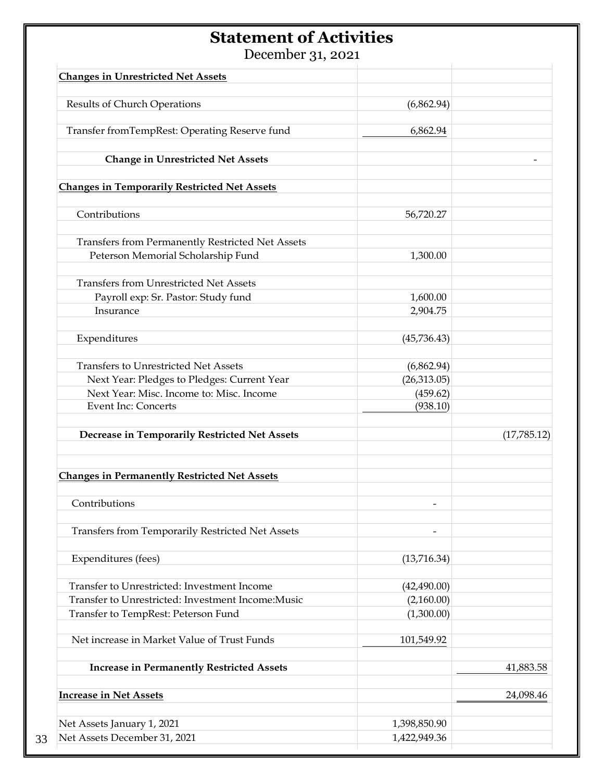## **Statement of Activities**

December 31, 2021

| <b>Changes in Unrestricted Net Assets</b>               |              |             |
|---------------------------------------------------------|--------------|-------------|
| Results of Church Operations                            | (6,862.94)   |             |
|                                                         |              |             |
| Transfer fromTempRest: Operating Reserve fund           | 6,862.94     |             |
| <b>Change in Unrestricted Net Assets</b>                |              |             |
| <b>Changes in Temporarily Restricted Net Assets</b>     |              |             |
| Contributions                                           | 56,720.27    |             |
| <b>Transfers from Permanently Restricted Net Assets</b> |              |             |
| Peterson Memorial Scholarship Fund                      | 1,300.00     |             |
| <b>Transfers from Unrestricted Net Assets</b>           |              |             |
| Payroll exp: Sr. Pastor: Study fund                     | 1,600.00     |             |
| Insurance                                               | 2,904.75     |             |
| Expenditures                                            | (45,736.43)  |             |
| <b>Transfers to Unrestricted Net Assets</b>             | (6,862.94)   |             |
| Next Year: Pledges to Pledges: Current Year             | (26,313.05)  |             |
| Next Year: Misc. Income to: Misc. Income                | (459.62)     |             |
| <b>Event Inc: Concerts</b>                              | (938.10)     |             |
| Decrease in Temporarily Restricted Net Assets           |              | (17,785.12) |
| <b>Changes in Permanently Restricted Net Assets</b>     |              |             |
| Contributions                                           |              |             |
| <b>Transfers from Temporarily Restricted Net Assets</b> |              |             |
| Expenditures (fees)                                     | (13,716.34)  |             |
| Transfer to Unrestricted: Investment Income             | (42, 490.00) |             |
| Transfer to Unrestricted: Investment Income: Music      | (2,160.00)   |             |
| Transfer to TempRest: Peterson Fund                     | (1,300.00)   |             |
| Net increase in Market Value of Trust Funds             | 101,549.92   |             |
| <b>Increase in Permanently Restricted Assets</b>        |              | 41,883.58   |
| <b>Increase in Net Assets</b>                           |              | 24,098.46   |
| Net Assets January 1, 2021                              | 1,398,850.90 |             |
| Net Assets December 31, 2021                            | 1,422,949.36 |             |
|                                                         |              |             |

33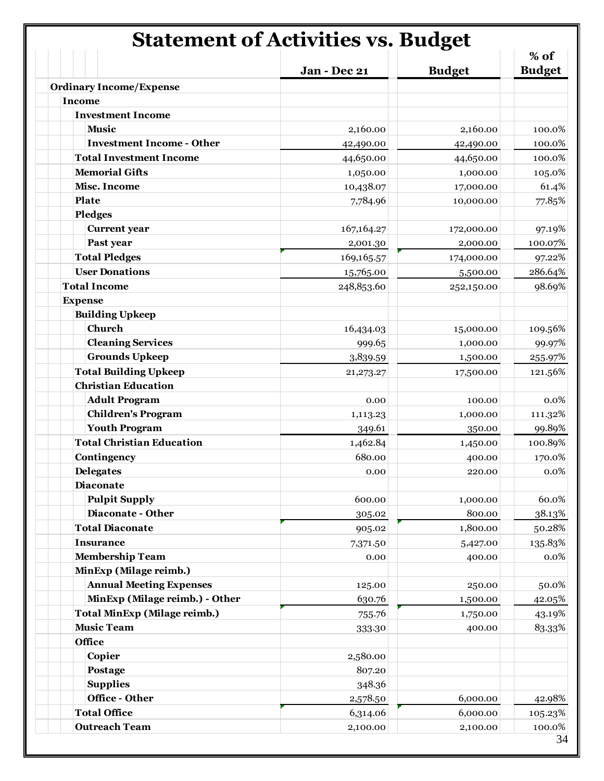# **Statement of Activities vs. Budget**

|                                     | Jan - Dec 21 | <b>Budget</b> | % of<br><b>Budget</b> |
|-------------------------------------|--------------|---------------|-----------------------|
| <b>Ordinary Income/Expense</b>      |              |               |                       |
| <b>Income</b>                       |              |               |                       |
| <b>Investment Income</b>            |              |               |                       |
| <b>Music</b>                        | 2,160.00     | 2,160.00      | 100.0%                |
| <b>Investment Income - Other</b>    | 42,490.00    | 42,490.00     | 100.0%                |
| <b>Total Investment Income</b>      | 44,650.00    | 44,650.00     | 100.0%                |
| <b>Memorial Gifts</b>               | 1,050.00     | 1,000.00      | 105.0%                |
| <b>Misc. Income</b>                 | 10,438.07    | 17,000.00     | 61.4%                 |
| Plate                               | 7,784.96     | 10,000.00     | 77.85%                |
| <b>Pledges</b>                      |              |               |                       |
| <b>Current</b> year                 | 167,164.27   | 172,000.00    | 97.19%                |
| Past year                           | 2,001.30     | 2,000.00      | 100.07%               |
| <b>Total Pledges</b>                | 169,165.57   | 174,000.00    | 97.22%                |
| <b>User Donations</b>               | 15,765.00    | 5,500.00      | 286.64%               |
| <b>Total Income</b>                 | 248,853.60   | 252,150.00    | 98.69%                |
| <b>Expense</b>                      |              |               |                       |
| <b>Building Upkeep</b>              |              |               |                       |
| Church                              | 16,434.03    | 15,000.00     | 109.56%               |
| <b>Cleaning Services</b>            | 999.65       | 1,000.00      | 99.97%                |
| <b>Grounds Upkeep</b>               | 3,839.59     | 1,500.00      | 255.97%               |
| <b>Total Building Upkeep</b>        | 21, 273. 27  | 17,500.00     | 121.56%               |
| <b>Christian Education</b>          |              |               |                       |
| <b>Adult Program</b>                | 0.00         | 100.00        | 0.0%                  |
| <b>Children's Program</b>           | 1,113.23     | 1,000.00      | 111.32%               |
| <b>Youth Program</b>                | 349.61       | 350.00        | 99.89%                |
| <b>Total Christian Education</b>    | 1,462.84     | 1,450.00      | 100.89%               |
| Contingency                         | 680.00       | 400.00        | 170.0%                |
| <b>Delegates</b>                    | 0.00         | 220.00        | 0.0%                  |
| <b>Diaconate</b>                    |              |               |                       |
| <b>Pulpit Supply</b>                | 600.00       | 1,000.00      | 60.0%                 |
| Diaconate - Other                   | 305.02       | 800.00        | 38.13%                |
| <b>Total Diaconate</b>              | 905.02       | 1,800.00      | 50.28%                |
| <b>Insurance</b>                    | 7,371.50     | 5,427.00      | 135.83%               |
| <b>Membership Team</b>              | 0.00         | 400.00        | $0.0\%$               |
| MinExp (Milage reimb.)              |              |               |                       |
| <b>Annual Meeting Expenses</b>      | 125.00       | 250.00        | 50.0%                 |
| MinExp (Milage reimb.) - Other      | 630.76       | 1,500.00      | 42.05%                |
| <b>Total MinExp (Milage reimb.)</b> | 755.76       | 1,750.00      | 43.19%                |
| <b>Music Team</b>                   | 333.30       | 400.00        | 83.33%                |
| Office                              |              |               |                       |
| Copier                              | 2,580.00     |               |                       |
| Postage                             | 807.20       |               |                       |
| <b>Supplies</b>                     | 348.36       |               |                       |
| Office - Other                      | 2,578.50     | 6,000.00      | 42.98%                |
| <b>Total Office</b>                 | 6,314.06     | 6,000.00      | 105.23%               |
| <b>Outreach Team</b>                | 2,100.00     | 2,100.00      | 100.0%                |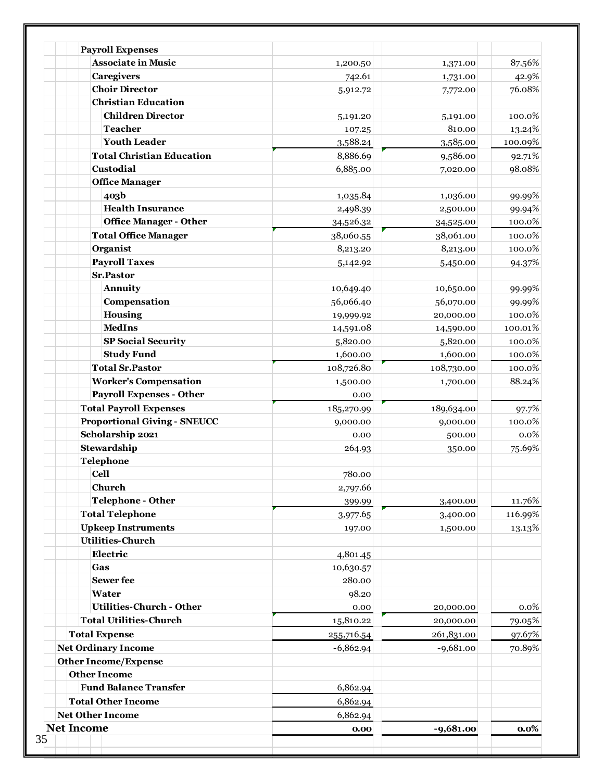| <b>Net Income</b> |                                         | 0.00                  | $-9,681.00$ | $0.0\%$ |
|-------------------|-----------------------------------------|-----------------------|-------------|---------|
|                   | <b>Net Other Income</b>                 | 6,862.94              |             |         |
|                   | <b>Total Other Income</b>               | 6,862.94              |             |         |
|                   | <b>Fund Balance Transfer</b>            | 6,862.94              |             |         |
|                   | <b>Other Income</b>                     |                       |             |         |
|                   | <b>Other Income/Expense</b>             |                       |             |         |
|                   | <b>Net Ordinary Income</b>              | $-6,862.94$           | $-9,681.00$ | 70.89%  |
|                   | <b>Total Expense</b>                    | 255,716.54            | 261,831.00  | 97.67%  |
|                   | <b>Total Utilities-Church</b>           | 15,810.22             | 20,000.00   | 79.05%  |
|                   | <b>Utilities-Church - Other</b>         | 0.00                  | 20,000.00   | 0.0%    |
|                   | Water                                   | 98.20                 |             |         |
|                   | <b>Sewer</b> fee                        | 280.00                |             |         |
|                   | Gas                                     | 10,630.57             |             |         |
|                   | Electric                                | 4,801.45              |             |         |
|                   | <b>Utilities-Church</b>                 |                       |             |         |
|                   | <b>Upkeep Instruments</b>               | 197.00                | 1,500.00    | 13.13%  |
|                   | <b>Total Telephone</b>                  | 3,977.65              | 3,400.00    | 116.99% |
|                   | <b>Telephone - Other</b>                | 399.99                | 3,400.00    | 11.76%  |
|                   | Church                                  | 2,797.66              |             |         |
|                   | <b>Cell</b>                             | 780.00                |             |         |
|                   | <b>Telephone</b>                        |                       |             |         |
|                   | Stewardship                             | 264.93                | 350.00      | 75.69%  |
|                   | Scholarship 2021                        | 0.00                  | 500.00      | 0.0%    |
|                   | <b>Proportional Giving - SNEUCC</b>     | 9,000.00              | 9,000.00    | 100.0%  |
|                   | <b>Total Payroll Expenses</b>           | 185,270.99            | 189,634.00  | 97.7%   |
|                   | <b>Payroll Expenses - Other</b>         | 0.00                  |             |         |
|                   | <b>Worker's Compensation</b>            | 1,500.00              | 1,700.00    | 88.24%  |
|                   | <b>Total Sr.Pastor</b>                  | 108,726.80            | 108,730.00  | 100.0%  |
|                   | <b>Study Fund</b>                       | 1,600.00              | 1,600.00    | 100.0%  |
|                   | <b>SP Social Security</b>               | 5,820.00              | 5,820.00    | 100.0%  |
|                   | <b>MedIns</b>                           | 14,591.08             | 14,590.00   | 100.01% |
|                   | <b>Housing</b>                          | 19,999.92             | 20,000.00   | 100.0%  |
|                   | Compensation                            | 56,066.40             | 56,070.00   | 99.99%  |
|                   | Annuity                                 | 10,649.40             | 10,650.00   | 99.99%  |
|                   | <b>Sr.Pastor</b>                        |                       | 5,450.00    | 94.37%  |
|                   | <b>Payroll Taxes</b>                    | 5,142.92              | 8,213.00    | 100.0%  |
|                   | <b>Total Office Manager</b><br>Organist | 38,060.55<br>8,213.20 | 38,061.00   | 100.0%  |
|                   | <b>Office Manager - Other</b>           | 34,526.32             | 34,525.00   | 100.0%  |
|                   | <b>Health Insurance</b>                 | 2,498.39              | 2,500.00    | 99.94%  |
|                   | 403b                                    | 1,035.84              | 1,036.00    | 99.99%  |
|                   | <b>Office Manager</b>                   |                       |             |         |
|                   | Custodial                               | 6,885.00              | 7,020.00    | 98.08%  |
|                   | <b>Total Christian Education</b>        | 8,886.69              | 9,586.00    | 92.71%  |
|                   | <b>Youth Leader</b>                     | 3,588.24              | 3,585.00    | 100.09% |
|                   | <b>Teacher</b>                          | 107.25                | 810.00      | 13.24%  |
|                   | <b>Children Director</b>                | 5,191.20              | 5,191.00    | 100.0%  |
|                   | <b>Christian Education</b>              |                       |             |         |
|                   | <b>Choir Director</b>                   | 5,912.72              | 7,772.00    | 76.08%  |
|                   | <b>Caregivers</b>                       | 742.61                | 1,731.00    | 42.9%   |
|                   | <b>Associate in Music</b>               | 1,200.50              | 1,371.00    | 87.56%  |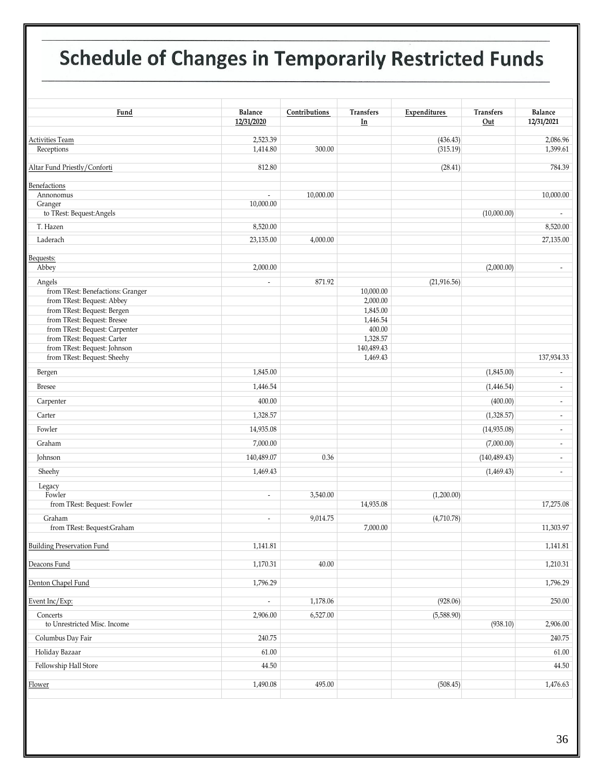# **12 Schedule of Changes in Temporarily Restricted Funds**

| Fund                                                        | Balance<br>12/31/2020    | Contributions | <b>Transfers</b><br>In | Expenditures         | <b>Transfers</b><br>Out | <b>Balance</b><br>12/31/2021 |
|-------------------------------------------------------------|--------------------------|---------------|------------------------|----------------------|-------------------------|------------------------------|
|                                                             |                          |               |                        |                      |                         |                              |
| Activities Team<br>Receptions                               | 2,523.39<br>1,414.80     | 300.00        |                        | (436.43)<br>(315.19) |                         | 2,086.96<br>1,399.61         |
|                                                             |                          |               |                        |                      |                         |                              |
| Altar Fund Priestly/Conforti                                | 812.80                   |               |                        | (28.41)              |                         | 784.39                       |
| Benefactions                                                |                          |               |                        |                      |                         |                              |
| Annonomus                                                   | $\overline{\phantom{a}}$ | 10,000.00     |                        |                      |                         | 10,000.00                    |
| Granger                                                     | 10,000.00                |               |                        |                      |                         |                              |
| to TRest: Bequest: Angels                                   |                          |               |                        |                      | (10,000.00)             | $\overline{\phantom{a}}$     |
| T. Hazen                                                    | 8,520.00                 |               |                        |                      |                         | 8,520.00                     |
| Laderach                                                    | 23,135.00                | 4,000.00      |                        |                      |                         | 27,135.00                    |
| Bequests:                                                   |                          |               |                        |                      |                         |                              |
| Abbey                                                       | 2,000.00                 |               |                        |                      | (2,000.00)              | $\overline{\phantom{a}}$     |
| Angels                                                      | $\overline{\phantom{a}}$ | 871.92        |                        | (21,916.56)          |                         |                              |
| from TRest: Benefactions: Granger                           |                          |               | 10,000.00              |                      |                         |                              |
| from TRest: Bequest: Abbey                                  |                          |               | 2,000.00               |                      |                         |                              |
| from TRest: Bequest: Bergen                                 |                          |               | 1,845.00               |                      |                         |                              |
| from TRest: Bequest: Bresee                                 |                          |               | 1,446.54               |                      |                         |                              |
| from TRest: Bequest: Carpenter                              |                          |               | 400.00                 |                      |                         |                              |
| from TRest: Bequest: Carter<br>from TRest: Bequest: Johnson |                          |               | 1,328.57<br>140,489.43 |                      |                         |                              |
| from TRest: Bequest: Sheehy                                 |                          |               | 1,469.43               |                      |                         | 137,934.33                   |
|                                                             | 1,845.00                 |               |                        |                      | (1,845.00)              | $\overline{\phantom{a}}$     |
| Bergen                                                      |                          |               |                        |                      |                         |                              |
| <b>Bresee</b>                                               | 1,446.54                 |               |                        |                      | (1,446.54)              | $\overline{\phantom{a}}$     |
| Carpenter                                                   | 400.00                   |               |                        |                      | (400.00)                | $\overline{\phantom{a}}$     |
| Carter                                                      | 1,328.57                 |               |                        |                      | (1,328.57)              | $\overline{\phantom{a}}$     |
| Fowler                                                      | 14,935.08                |               |                        |                      | (14,935.08)             | $\overline{\phantom{a}}$     |
| Graham                                                      | 7,000.00                 |               |                        |                      | (7,000.00)              | $\overline{\phantom{a}}$     |
| Johnson                                                     | 140,489.07               | 0.36          |                        |                      | (140, 489.43)           | $\overline{\phantom{a}}$     |
| Sheehy                                                      | 1,469.43                 |               |                        |                      | (1,469.43)              | $\overline{\phantom{a}}$     |
| Legacy                                                      |                          |               |                        |                      |                         |                              |
| Fowler                                                      | $\overline{\phantom{a}}$ | 3,540.00      |                        | (1,200.00)           |                         |                              |
| from TRest: Bequest: Fowler                                 |                          |               | 14,935.08              |                      |                         | 17,275.08                    |
| Graham                                                      | $\overline{\phantom{a}}$ | 9,014.75      |                        | (4,710.78)           |                         |                              |
| from TRest: Bequest:Graham                                  |                          |               | 7,000.00               |                      |                         | 11,303.97                    |
| <b>Building Preservation Fund</b>                           | 1,141.81                 |               |                        |                      |                         | 1,141.81                     |
| Deacons Fund                                                | 1,170.31                 | 40.00         |                        |                      |                         | 1,210.31                     |
|                                                             | 1,796.29                 |               |                        |                      |                         | 1,796.29                     |
| Denton Chapel Fund                                          |                          |               |                        |                      |                         |                              |
| Event Inc/Exp:                                              | $\overline{\phantom{a}}$ | 1,178.06      |                        | (928.06)             |                         | 250.00                       |
| Concerts<br>to Unrestricted Misc. Income                    | 2,906.00                 | 6,527.00      |                        | (5,588.90)           | (938.10)                | 2,906.00                     |
| Columbus Day Fair                                           | 240.75                   |               |                        |                      |                         | 240.75                       |
| Holiday Bazaar                                              | 61.00                    |               |                        |                      |                         | 61.00                        |
| Fellowship Hall Store                                       | 44.50                    |               |                        |                      |                         | 44.50                        |
| Flower                                                      | 1,490.08                 | 495.00        |                        | (508.45)             |                         | 1,476.63                     |
|                                                             |                          |               |                        |                      |                         |                              |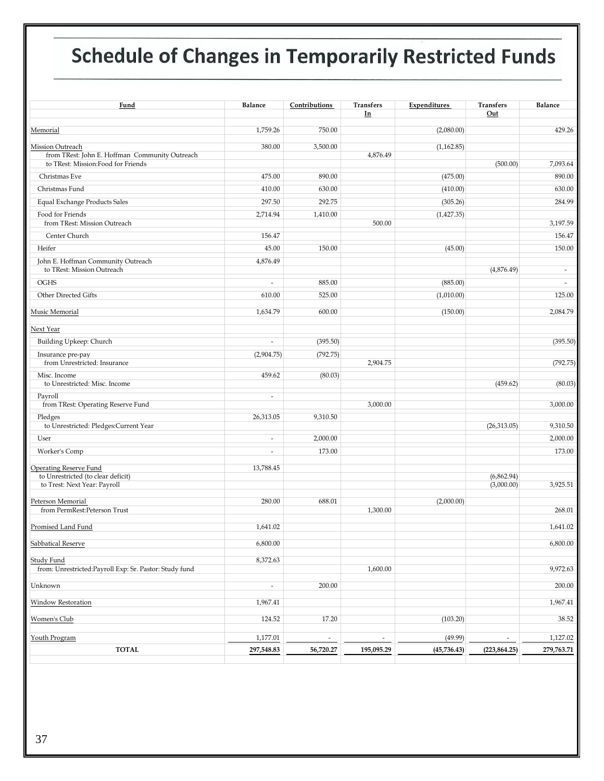# **Schedule of Changes in Temporarily Restricted Funds**

| Fund                                                               | Balance                  | Contributions | Transfers<br>In          | Expenditures | Transfers<br>Out         | <b>Balance</b>           |
|--------------------------------------------------------------------|--------------------------|---------------|--------------------------|--------------|--------------------------|--------------------------|
| Memorial                                                           | 1,759.26                 | 750.00        |                          | (2,080.00)   |                          | 429.26                   |
| Mission Outreach<br>from TRest: John E. Hoffman Community Outreach | 380.00                   | 3,500.00      | 4,876.49                 | (1,162.85)   |                          |                          |
| to TRest: Mission:Food for Friends                                 |                          |               |                          |              | (500.00)                 | 7,093.64                 |
| Christmas Eve                                                      | 475.00                   | 890.00        |                          | (475.00)     |                          | 890.00                   |
| Christmas Fund                                                     | 410.00                   | 630.00        |                          | (410.00)     |                          | 630.00                   |
| <b>Equal Exchange Products Sales</b>                               | 297.50                   | 292.75        |                          | (305.26)     |                          | 284.99                   |
| Food for Friends<br>from TRest: Mission Outreach                   | 2,714.94                 | 1,410.00      | 500.00                   | (1,427.35)   |                          | 3,197.59                 |
| Center Church                                                      | 156.47                   |               |                          |              |                          | 156.47                   |
| Heifer                                                             | 45.00                    | 150.00        |                          | (45.00)      |                          | 150.00                   |
| John E. Hoffman Community Outreach<br>to TRest: Mission Outreach   | 4,876.49                 |               |                          |              | (4,876.49)               | $\overline{\phantom{a}}$ |
| OGHS                                                               | $\overline{\phantom{a}}$ | 885.00        |                          | (885.00)     |                          | $\sim$                   |
| Other Directed Gifts                                               | 610.00                   | 525.00        |                          | (1,010.00)   |                          | 125.00                   |
| Music Memorial                                                     | 1,634.79                 | 600.00        |                          | (150.00)     |                          | 2,084.79                 |
| Next Year                                                          |                          |               |                          |              |                          |                          |
| Building Upkeep: Church                                            | $\overline{\phantom{a}}$ | (395.50)      |                          |              |                          | (395.50)                 |
| Insurance pre-pay                                                  | (2,904.75)               | (792.75)      |                          |              |                          |                          |
| from Unrestricted: Insurance                                       |                          |               | 2,904.75                 |              |                          | (792.75)                 |
| Misc. Income<br>to Unrestricted: Misc. Income                      | 459.62                   | (80.03)       |                          |              | (459.62)                 | (80.03)                  |
| Payroll<br>from TRest: Operating Reserve Fund                      | $\overline{\phantom{a}}$ |               | 3,000.00                 |              |                          | 3,000.00                 |
| Pledges<br>to Unrestricted: Pledges: Current Year                  | 26,313.05                | 9,310.50      |                          |              | (26,313.05)              | 9,310.50                 |
| User                                                               | $\overline{\phantom{a}}$ | 2,000.00      |                          |              |                          | 2,000.00                 |
| Worker's Comp                                                      | $\overline{\phantom{a}}$ | 173.00        |                          |              |                          | 173.00                   |
| Operating Reserve Fund                                             | 13,788.45                |               |                          |              |                          |                          |
| to Unrestricted (to clear deficit)<br>to Trest: Next Year: Payroll |                          |               |                          |              | (6,862.94)<br>(3,000.00) | 3,925.51                 |
| Peterson Memorial                                                  | 280.00                   | 688.01        |                          | (2,000.00)   |                          |                          |
| from PermRest:Peterson Trust                                       |                          |               | 1,300.00                 |              |                          | 268.01                   |
| Promised Land Fund                                                 | 1,641.02                 |               |                          |              |                          | 1,641.02                 |
| Sabbatical Reserve                                                 | 6,800.00                 |               |                          |              |                          | 6,800.00                 |
| Study Fund                                                         | 8,372.63                 |               |                          |              |                          |                          |
| from: Unrestricted:Payroll Exp: Sr. Pastor: Study fund             |                          |               | 1,600.00                 |              |                          | 9,972.63                 |
| Unknown                                                            | $\overline{\phantom{a}}$ | 200.00        |                          |              |                          | 200.00                   |
| Window Restoration                                                 | 1,967.41                 |               |                          |              |                          | 1,967.41                 |
| Women's Club                                                       | 124.52                   | 17.20         |                          | (103.20)     |                          | 38.52                    |
| Youth Program                                                      | 1,177.01                 |               | $\overline{\phantom{a}}$ | (49.99)      |                          | 1,127.02                 |
| <b>TOTAL</b>                                                       | 297,548.83               | 56,720.27     | 195,095.29               | (45, 736.43) | (223, 864.25)            | 279,763.71               |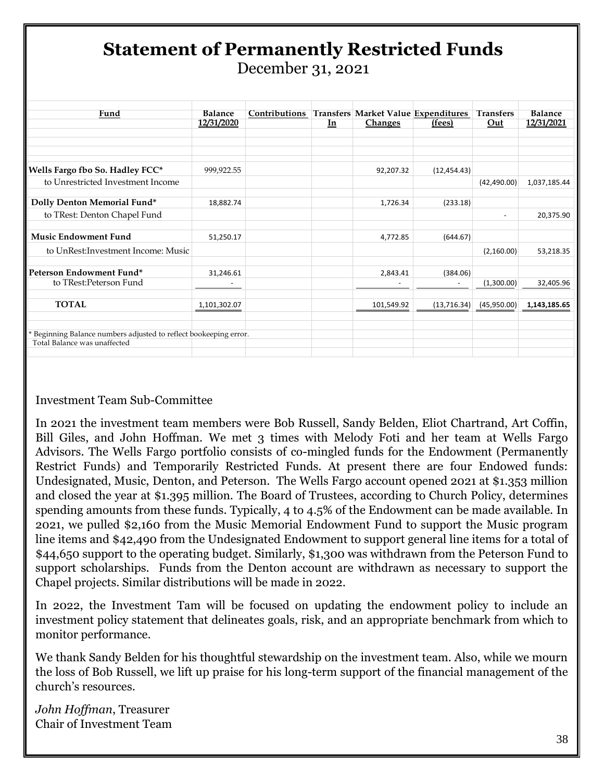# **Statement of Permanently Restricted Funds**

December 31, 2021

| Fund                                                              | <b>Balance</b> | Contributions |    | Transfers Market Value Expenditures |              | <b>Transfers</b>         | <b>Balance</b> |
|-------------------------------------------------------------------|----------------|---------------|----|-------------------------------------|--------------|--------------------------|----------------|
|                                                                   | 12/31/2020     |               | In | <b>Changes</b>                      | (fees)       | Out                      | 12/31/2021     |
|                                                                   |                |               |    |                                     |              |                          |                |
| Wells Fargo fbo So. Hadley FCC*                                   | 999,922.55     |               |    | 92,207.32                           | (12, 454.43) |                          |                |
| to Unrestricted Investment Income                                 |                |               |    |                                     |              | (42, 490.00)             | 1,037,185.44   |
| Dolly Denton Memorial Fund*                                       | 18,882.74      |               |    | 1,726.34                            | (233.18)     |                          |                |
| to TRest: Denton Chapel Fund                                      |                |               |    |                                     |              | $\overline{\phantom{a}}$ | 20,375.90      |
| <b>Music Endowment Fund</b>                                       | 51,250.17      |               |    | 4,772.85                            | (644.67)     |                          |                |
| to UnRest: Investment Income: Music                               |                |               |    |                                     |              | (2,160.00)               | 53,218.35      |
| Peterson Endowment Fund*                                          | 31,246.61      |               |    | 2,843.41                            | (384.06)     |                          |                |
| to TRest:Peterson Fund                                            |                |               |    |                                     |              | (1,300.00)               | 32,405.96      |
| <b>TOTAL</b>                                                      | 1,101,302.07   |               |    | 101,549.92                          | (13,716.34)  | (45,950.00)              | 1,143,185.65   |
| * Beginning Balance numbers adjusted to reflect bookeeping error. |                |               |    |                                     |              |                          |                |
| Total Balance was unaffected                                      |                |               |    |                                     |              |                          |                |

#### Investment Team Sub-Committee

In 2021 the investment team members were Bob Russell, Sandy Belden, Eliot Chartrand, Art Coffin, Bill Giles, and John Hoffman. We met 3 times with Melody Foti and her team at Wells Fargo Advisors. The Wells Fargo portfolio consists of co-mingled funds for the Endowment (Permanently Restrict Funds) and Temporarily Restricted Funds. At present there are four Endowed funds: Undesignated, Music, Denton, and Peterson. The Wells Fargo account opened 2021 at \$1.353 million and closed the year at \$1.395 million. The Board of Trustees, according to Church Policy, determines spending amounts from these funds. Typically, 4 to 4.5% of the Endowment can be made available. In 2021, we pulled \$2,160 from the Music Memorial Endowment Fund to support the Music program line items and \$42,490 from the Undesignated Endowment to support general line items for a total of \$44,650 support to the operating budget. Similarly, \$1,300 was withdrawn from the Peterson Fund to support scholarships. Funds from the Denton account are withdrawn as necessary to support the Chapel projects. Similar distributions will be made in 2022.

In 2022, the Investment Tam will be focused on updating the endowment policy to include an investment policy statement that delineates goals, risk, and an appropriate benchmark from which to monitor performance.

We thank Sandy Belden for his thoughtful stewardship on the investment team. Also, while we mourn the loss of Bob Russell, we lift up praise for his long-term support of the financial management of the church's resources.

*John Hoffman*, Treasurer Chair of Investment Team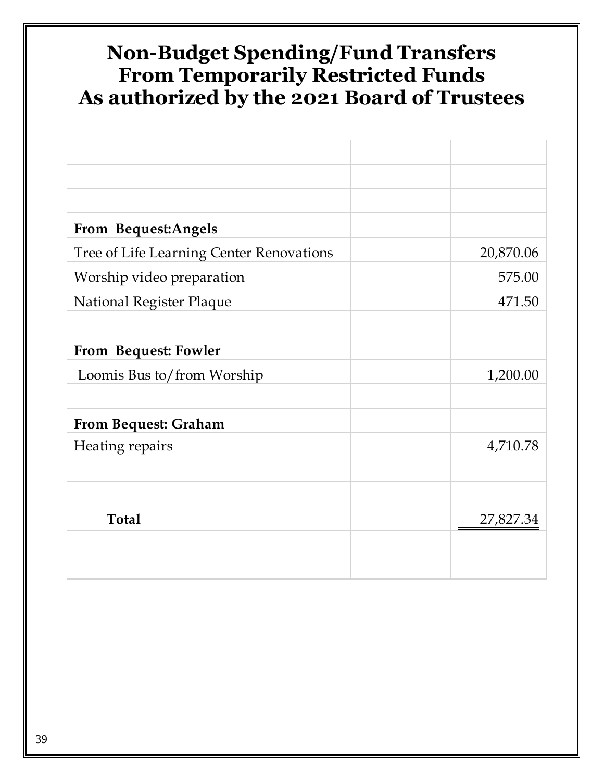## **Non-Budget Spending/Fund Transfers From Temporarily Restricted Funds As authorized by the 2021 Board of Trustees**

| <b>From Bequest:Angels</b>               |           |
|------------------------------------------|-----------|
| Tree of Life Learning Center Renovations | 20,870.06 |
| Worship video preparation                | 575.00    |
| National Register Plaque                 | 471.50    |
|                                          |           |
| From Bequest: Fowler                     |           |
| Loomis Bus to/from Worship               | 1,200.00  |
|                                          |           |
| <b>From Bequest: Graham</b>              |           |
| Heating repairs                          | 4,710.78  |
|                                          |           |
|                                          |           |
| <b>Total</b>                             | 27,827.34 |
|                                          |           |
|                                          |           |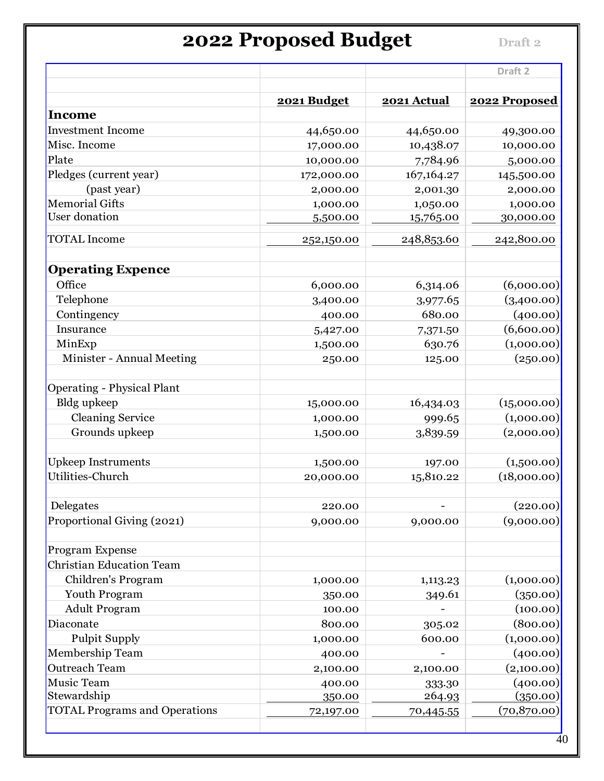# **2022 Proposed Budget Draft 2**

|                                      |             |              | Draft <sub>2</sub> |
|--------------------------------------|-------------|--------------|--------------------|
|                                      | 2021 Budget | 2021 Actual  | 2022 Proposed      |
| <b>Income</b>                        |             |              |                    |
| <b>Investment Income</b>             | 44,650.00   | 44,650.00    | 49,300.00          |
| Misc. Income                         | 17,000.00   | 10,438.07    | 10,000.00          |
| Plate                                | 10,000.00   | 7,784.96     | 5,000.00           |
| Pledges (current year)               | 172,000.00  | 167, 164. 27 | 145,500.00         |
| (past year)                          | 2,000.00    | 2,001.30     | 2,000.00           |
| <b>Memorial Gifts</b>                | 1,000.00    | 1,050.00     | 1,000.00           |
| User donation                        | 5,500.00    | 15,765.00    | 30,000.00          |
| <b>TOTAL Income</b>                  | 252,150.00  | 248,853.60   | 242,800.00         |
| <b>Operating Expence</b>             |             |              |                    |
| Office                               | 6,000.00    | 6,314.06     | (6,000.00)         |
| Telephone                            | 3,400.00    | 3,977.65     | (3,400.00)         |
| Contingency                          | 400.00      | 680.00       | (400.00)           |
| Insurance                            | 5,427.00    | 7,371.50     | (6,600.00)         |
| MinExp                               | 1,500.00    | 630.76       | (1,000.00)         |
| Minister - Annual Meeting            | 250.00      | 125.00       | (250.00)           |
| <b>Operating - Physical Plant</b>    |             |              |                    |
| <b>Bldg</b> upkeep                   | 15,000.00   | 16,434.03    | (15,000.00)        |
| <b>Cleaning Service</b>              | 1,000.00    | 999.65       | (1,000.00)         |
| Grounds upkeep                       | 1,500.00    | 3,839.59     | (2,000.00)         |
| <b>Upkeep Instruments</b>            | 1,500.00    | 197.00       | (1,500.00)         |
| Utilities-Church                     | 20,000.00   | 15,810.22    | (18,000.00)        |
| Delegates                            | 220.00      |              | (220.00)           |
| Proportional Giving (2021)           | 9,000.00    | 9,000.00     | (9,000.00)         |
| Program Expense                      |             |              |                    |
| <b>Christian Education Team</b>      |             |              |                    |
| Children's Program                   | 1,000.00    | 1,113.23     | (1,000.00)         |
| Youth Program                        | 350.00      | 349.61       | (350.00)           |
| <b>Adult Program</b>                 | 100.00      |              | (100.00)           |
| Diaconate                            | 800.00      | 305.02       | (800.00)           |
| <b>Pulpit Supply</b>                 | 1,000.00    | 600.00       | (1,000.00)         |
| Membership Team                      | 400.00      |              | (400.00)           |
| Outreach Team                        | 2,100.00    | 2,100.00     | (2,100.00)         |
| Music Team                           | 400.00      | 333.30       | (400.00)           |
| Stewardship                          | 350.00      | 264.93       | (350.00)           |
| <b>TOTAL Programs and Operations</b> | 72,197.00   | 70,445.55    | (70, 870.00)       |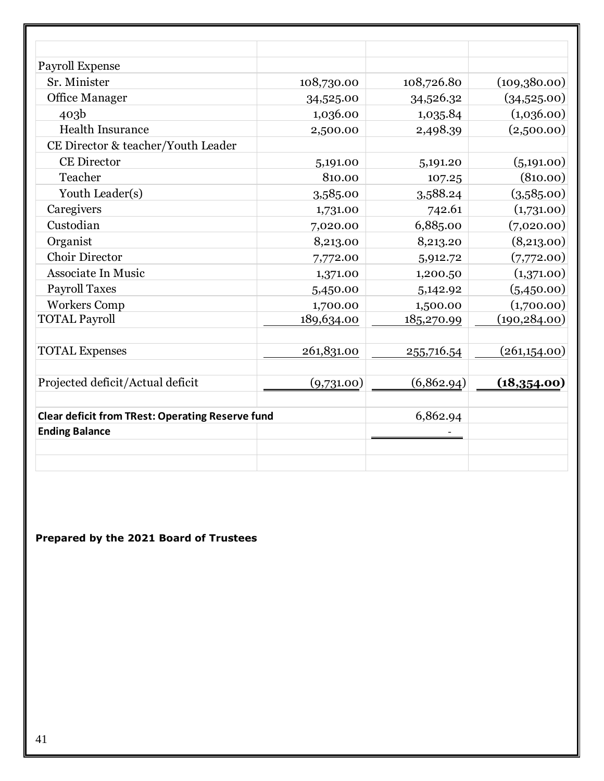| Payroll Expense                                         |            |            |               |
|---------------------------------------------------------|------------|------------|---------------|
| Sr. Minister                                            | 108,730.00 | 108,726.80 | (109,380.00)  |
| <b>Office Manager</b>                                   | 34,525.00  | 34,526.32  | (34,525.00)   |
| 403 <sub>b</sub>                                        | 1,036.00   | 1,035.84   | (1,036.00)    |
| <b>Health Insurance</b>                                 | 2,500.00   | 2,498.39   | (2,500.00)    |
| CE Director & teacher/Youth Leader                      |            |            |               |
| <b>CE Director</b>                                      | 5,191.00   | 5,191.20   | (5,191.00)    |
| Teacher                                                 | 810.00     | 107.25     | (810.00)      |
| Youth Leader(s)                                         | 3,585.00   | 3,588.24   | (3,585.00)    |
| Caregivers                                              | 1,731.00   | 742.61     | (1,731.00)    |
| Custodian                                               | 7,020.00   | 6,885.00   | (7,020.00)    |
| Organist                                                | 8,213.00   | 8,213.20   | (8,213.00)    |
| Choir Director                                          | 7,772.00   | 5,912.72   | (7,772.00)    |
| Associate In Music                                      | 1,371.00   | 1,200.50   | (1,371.00)    |
| <b>Payroll Taxes</b>                                    | 5,450.00   | 5,142.92   | (5,450.00)    |
| <b>Workers Comp</b>                                     | 1,700.00   | 1,500.00   | (1,700.00)    |
| <b>TOTAL Payroll</b>                                    | 189,634.00 | 185,270.99 | (190, 284.00) |
| <b>TOTAL Expenses</b>                                   | 261,831.00 | 255,716.54 | (261,154.00)  |
| Projected deficit/Actual deficit                        | (9,731.00) | (6,862.94) | (18,354.00)   |
| <b>Clear deficit from TRest: Operating Reserve fund</b> |            | 6,862.94   |               |
| <b>Ending Balance</b>                                   |            |            |               |
|                                                         |            |            |               |

**Prepared by the 2021 Board of Trustees**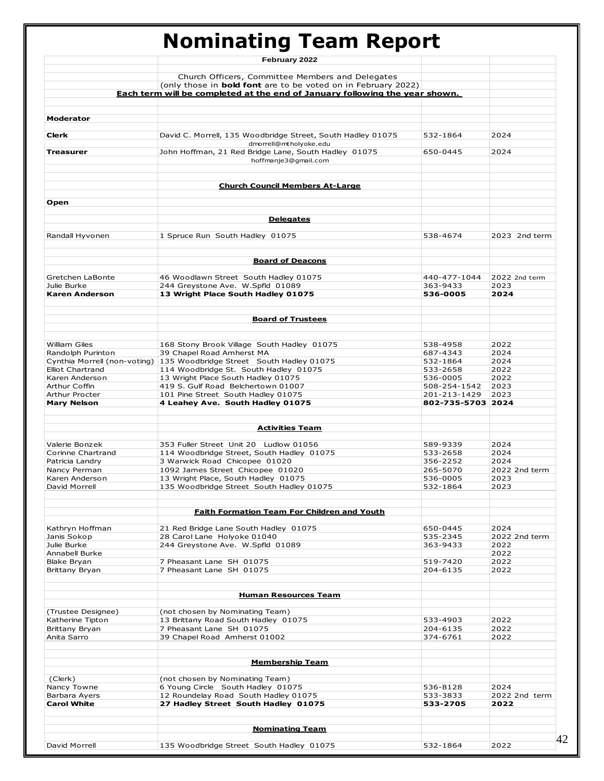# **Nominating Team Report**

|                               | February 2022                                                                |                      |               |
|-------------------------------|------------------------------------------------------------------------------|----------------------|---------------|
|                               |                                                                              |                      |               |
|                               | Church Officers, Committee Members and Delegates                             |                      |               |
|                               | (only those in <b>bold font</b> are to be voted on in February 2022)         |                      |               |
|                               | Each term will be completed at the end of January following the year shown.  |                      |               |
|                               |                                                                              |                      |               |
| <b>Moderator</b>              |                                                                              |                      |               |
| <b>Clerk</b>                  | David C. Morrell, 135 Woodbridge Street, South Hadley 01075                  | 532-1864             | 2024          |
| Treasurer                     | dmorrell@mtholyoke.edu                                                       | 650-0445             | 2024          |
|                               | John Hoffman, 21 Red Bridge Lane, South Hadley 01075<br>hoffmanje3@gmail.com |                      |               |
|                               | <b>Church Council Members At-Large</b>                                       |                      |               |
| Open                          |                                                                              |                      |               |
|                               | <b>Delegates</b>                                                             |                      |               |
|                               |                                                                              |                      |               |
| Randall Hyvonen               | 1 Spruce Run South Hadley 01075                                              | 538-4674             | 2023 2nd term |
|                               | <b>Board of Deacons</b>                                                      |                      |               |
| Gretchen LaBonte              | 46 Woodlawn Street South Hadley 01075                                        | 440-477-1044         | 2022 2nd term |
| Julie Burke<br>Karen Anderson | 244 Greystone Ave. W.Spfld 01089<br>13 Wright Place South Hadley 01075       | 363-9433<br>536-0005 | 2023<br>2024  |
|                               |                                                                              |                      |               |
|                               | <b>Board of Trustees</b>                                                     |                      |               |
|                               |                                                                              |                      |               |
| William Giles                 | 168 Stony Brook Village South Hadley 01075                                   | 538-4958             | 2022          |
| Randolph Purinton             | 39 Chapel Road Amherst MA                                                    | 687-4343             | 2024          |
|                               | Cynthia Morrell (non-voting) 135 Woodbridge Street South Hadley 01075        | 532-1864             | 2024          |
| <b>Elliot Chartrand</b>       | 114 Woodbridge St. South Hadley 01075                                        | 533-2658             | 2022          |
| Karen Anderson                | 13 Wright Place South Hadley 01075                                           | 536-0005             | 2022          |
| Arthur Coffin                 | 419 S. Gulf Road Belchertown 01007                                           | 508-254-1542         | 2023          |
| Arthur Procter                | 101 Pine Street South Hadley 01075                                           | 201-213-1429         | 2023          |
|                               |                                                                              |                      |               |
| <b>Mary Nelson</b>            | 4 Leahey Ave. South Hadley 01075                                             | 802-735-5703 2024    |               |
|                               | <b>Activities Team</b>                                                       |                      |               |
| Valerie Bonzek                | 353 Fuller Street Unit 20 Ludlow 01056                                       | 589-9339             | 2024          |
|                               |                                                                              |                      |               |
| Corinne Chartrand             | 114 Woodbridge Street, South Hadley 01075                                    | 533-2658             | 2024          |
| Patricia Landry               | 3 Warwick Road Chicopee 01020                                                | 356-2252             | 2024          |
| Nancy Perman                  | 1092 James Street Chicopee 01020                                             | 265-5070             | 2022 2nd term |
| Karen Anderson                | 13 Wright Place, South Hadley 01075                                          | 536-0005             | 2023          |
| David Morrell                 | 135 Woodbridge Street South Hadley 01075                                     | 532-1864             | 2023          |
|                               |                                                                              |                      |               |
|                               | <b>Faith Formation Team For Children and Youth</b>                           |                      |               |
| Kathryn Hoffman               | 21 Red Bridge Lane South Hadley 01075                                        | 650-0445             | 2024          |
| Janis Sokop                   | 28 Carol Lane Holyoke 01040                                                  | 535-2345             | 2022 2nd term |
| Julie Burke                   | 244 Greystone Ave. W.Spfld 01089                                             | 363-9433             | 2022          |
| Annabell Burke                |                                                                              |                      | 2022          |
|                               |                                                                              |                      |               |
| Blake Brvan                   | 7 Pheasant Lane SH 01075                                                     | 519-7420             | 2022          |
| Brittany Bryan                | 7 Pheasant Lane SH 01075                                                     | 204-6135             | 2022          |
|                               | <b>Human Resources Team</b>                                                  |                      |               |
| (Trustee Designee)            | (not chosen by Nominating Team)                                              |                      |               |
| Katherine Tipton              | 13 Brittany Road South Hadley 01075                                          | 533-4903             | 2022          |
| Brittany Bryan                | 7 Pheasant Lane SH 01075                                                     | 204-6135             | 2022          |
| Anita Sarro                   | 39 Chapel Road Amherst 01002                                                 | 374-6761             | 2022          |
|                               |                                                                              |                      |               |
|                               | <b>Membership Team</b>                                                       |                      |               |
| (Clerk)                       | (not chosen by Nominating Team)                                              |                      |               |
| Nancy Towne                   | 6 Young Circle South Hadley 01075                                            | 536-8128             | 2024          |
| Barbara Ayers                 | 12 Roundelay Road South Hadley 01075                                         | 533-3833             | 2022 2nd term |
| <b>Carol White</b>            | 27 Hadley Street South Hadley 01075                                          | 533-2705             | 2022          |
|                               | <b>Nominating Team</b>                                                       |                      |               |
|                               |                                                                              |                      |               |
| David Morrell                 | 135 Woodbridge Street South Hadley 01075                                     | 532-1864             | 2022          |